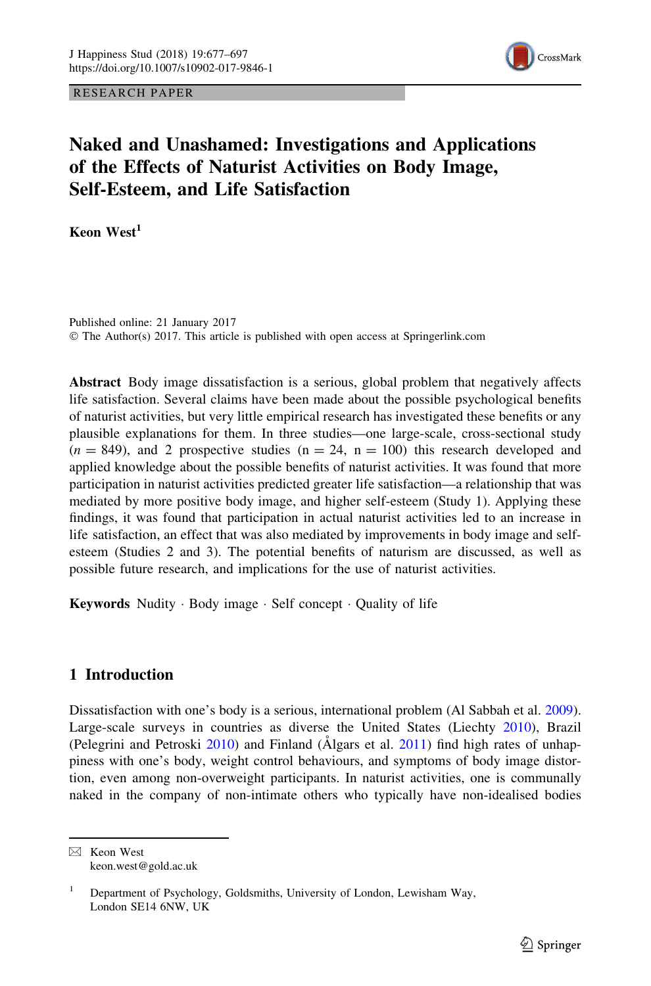RESEARCH PAPER



# Naked and Unashamed: Investigations and Applications of the Effects of Naturist Activities on Body Image, Self-Esteem, and Life Satisfaction

Keon  $West<sup>1</sup>$ 

Published online: 21 January 2017 © The Author(s) 2017. This article is published with open access at Springerlink.com

Abstract Body image dissatisfaction is a serious, global problem that negatively affects life satisfaction. Several claims have been made about the possible psychological benefits of naturist activities, but very little empirical research has investigated these benefits or any plausible explanations for them. In three studies—one large-scale, cross-sectional study  $(n = 849)$ , and 2 prospective studies  $(n = 24, n = 100)$  this research developed and applied knowledge about the possible benefits of naturist activities. It was found that more participation in naturist activities predicted greater life satisfaction—a relationship that was mediated by more positive body image, and higher self-esteem (Study 1). Applying these findings, it was found that participation in actual naturist activities led to an increase in life satisfaction, an effect that was also mediated by improvements in body image and selfesteem (Studies 2 and 3). The potential benefits of naturism are discussed, as well as possible future research, and implications for the use of naturist activities.

Keywords Nudity - Body image - Self concept - Quality of life

# 1 Introduction

Dissatisfaction with one's body is a serious, international problem (Al Sabbah et al. [2009](#page-17-0)). Large-scale surveys in countries as diverse the United States (Liechty [2010\)](#page-18-0), Brazil (Pelegrini and Petroski  $2010$ ) and Finland (Algars et al.  $2011$ ) find high rates of unhappiness with one's body, weight control behaviours, and symptoms of body image distortion, even among non-overweight participants. In naturist activities, one is communally naked in the company of non-intimate others who typically have non-idealised bodies

 $\boxtimes$  Keon West keon.west@gold.ac.uk

<sup>1</sup> Department of Psychology, Goldsmiths, University of London, Lewisham Way, London SE14 6NW, UK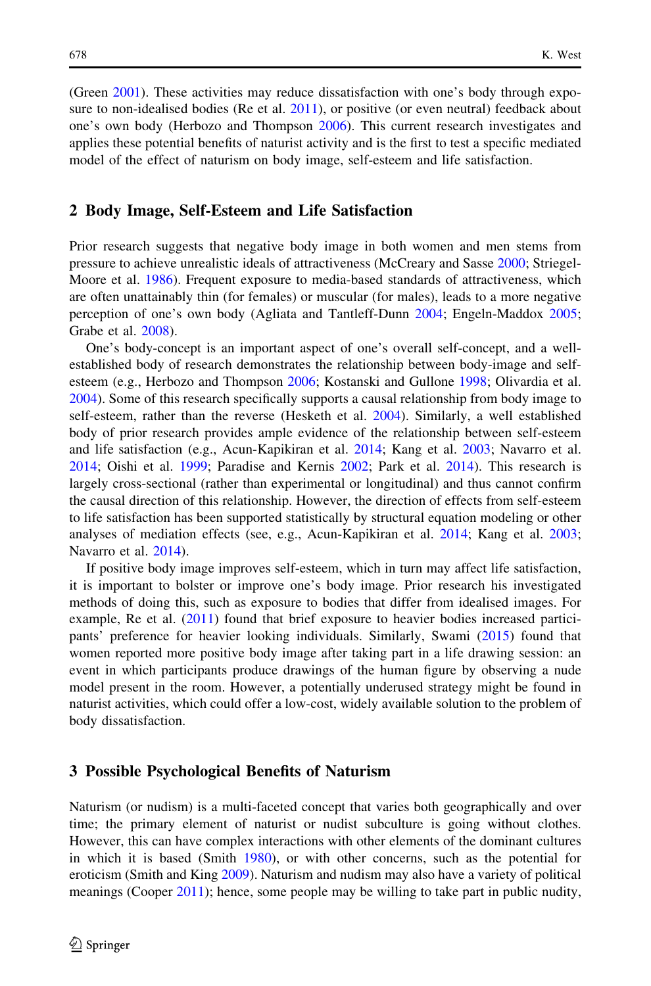(Green [2001](#page-18-0)). These activities may reduce dissatisfaction with one's body through exposure to non-idealised bodies (Re et al. [2011\)](#page-19-0), or positive (or even neutral) feedback about one's own body (Herbozo and Thompson [2006](#page-18-0)). This current research investigates and applies these potential benefits of naturist activity and is the first to test a specific mediated model of the effect of naturism on body image, self-esteem and life satisfaction.

## 2 Body Image, Self-Esteem and Life Satisfaction

Prior research suggests that negative body image in both women and men stems from pressure to achieve unrealistic ideals of attractiveness (McCreary and Sasse [2000;](#page-18-0) Striegel-Moore et al. [1986\)](#page-19-0). Frequent exposure to media-based standards of attractiveness, which are often unattainably thin (for females) or muscular (for males), leads to a more negative perception of one's own body (Agliata and Tantleff-Dunn [2004](#page-17-0); Engeln-Maddox [2005;](#page-18-0) Grabe et al. [2008](#page-18-0)).

One's body-concept is an important aspect of one's overall self-concept, and a wellestablished body of research demonstrates the relationship between body-image and selfesteem (e.g., Herbozo and Thompson [2006](#page-18-0); Kostanski and Gullone [1998;](#page-18-0) Olivardia et al. [2004\)](#page-19-0). Some of this research specifically supports a causal relationship from body image to self-esteem, rather than the reverse (Hesketh et al. [2004\)](#page-18-0). Similarly, a well established body of prior research provides ample evidence of the relationship between self-esteem and life satisfaction (e.g., Acun-Kapikiran et al. [2014](#page-17-0); Kang et al. [2003](#page-18-0); Navarro et al. [2014;](#page-18-0) Oishi et al. [1999](#page-19-0); Paradise and Kernis [2002;](#page-19-0) Park et al. [2014](#page-19-0)). This research is largely cross-sectional (rather than experimental or longitudinal) and thus cannot confirm the causal direction of this relationship. However, the direction of effects from self-esteem to life satisfaction has been supported statistically by structural equation modeling or other analyses of mediation effects (see, e.g., Acun-Kapikiran et al. [2014;](#page-17-0) Kang et al. [2003;](#page-18-0) Navarro et al. [2014](#page-18-0)).

If positive body image improves self-esteem, which in turn may affect life satisfaction, it is important to bolster or improve one's body image. Prior research his investigated methods of doing this, such as exposure to bodies that differ from idealised images. For example, Re et al. ([2011\)](#page-19-0) found that brief exposure to heavier bodies increased participants' preference for heavier looking individuals. Similarly, Swami [\(2015](#page-19-0)) found that women reported more positive body image after taking part in a life drawing session: an event in which participants produce drawings of the human figure by observing a nude model present in the room. However, a potentially underused strategy might be found in naturist activities, which could offer a low-cost, widely available solution to the problem of body dissatisfaction.

#### 3 Possible Psychological Benefits of Naturism

Naturism (or nudism) is a multi-faceted concept that varies both geographically and over time; the primary element of naturist or nudist subculture is going without clothes. However, this can have complex interactions with other elements of the dominant cultures in which it is based (Smith [1980](#page-19-0)), or with other concerns, such as the potential for eroticism (Smith and King [2009](#page-19-0)). Naturism and nudism may also have a variety of political meanings (Cooper [2011](#page-17-0)); hence, some people may be willing to take part in public nudity,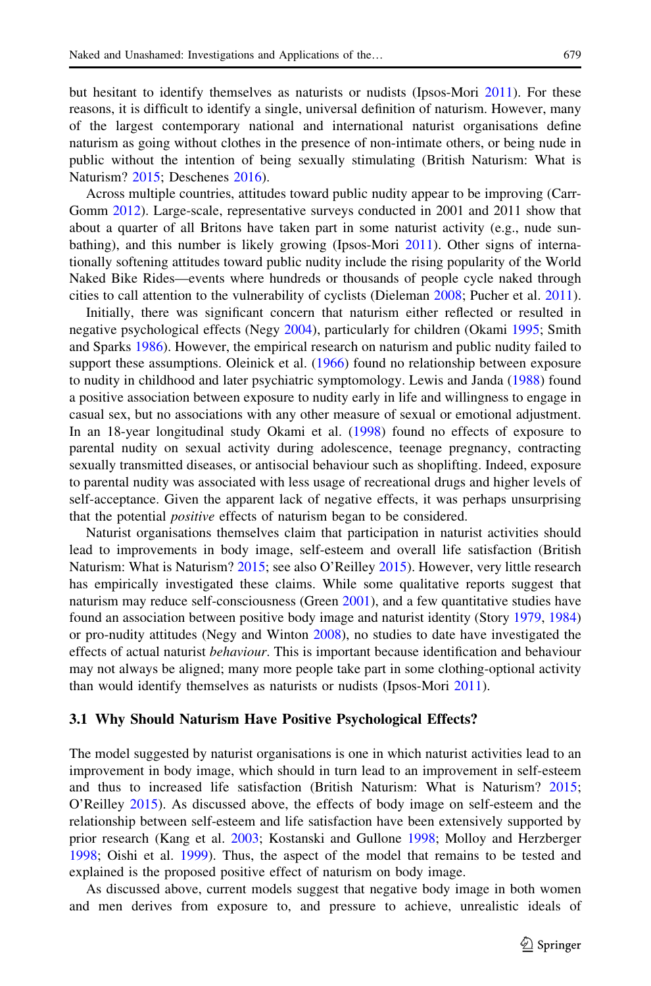but hesitant to identify themselves as naturists or nudists (Ipsos-Mori [2011](#page-18-0)). For these reasons, it is difficult to identify a single, universal definition of naturism. However, many of the largest contemporary national and international naturist organisations define naturism as going without clothes in the presence of non-intimate others, or being nude in public without the intention of being sexually stimulating (British Naturism: What is Naturism? [2015](#page-17-0); Deschenes [2016\)](#page-17-0).

Across multiple countries, attitudes toward public nudity appear to be improving (Carr-Gomm [2012](#page-17-0)). Large-scale, representative surveys conducted in 2001 and 2011 show that about a quarter of all Britons have taken part in some naturist activity (e.g., nude sunbathing), and this number is likely growing (Ipsos-Mori [2011\)](#page-18-0). Other signs of internationally softening attitudes toward public nudity include the rising popularity of the World Naked Bike Rides—events where hundreds or thousands of people cycle naked through cities to call attention to the vulnerability of cyclists (Dieleman [2008;](#page-17-0) Pucher et al. [2011](#page-19-0)).

Initially, there was significant concern that naturism either reflected or resulted in negative psychological effects (Negy [2004\)](#page-19-0), particularly for children (Okami [1995](#page-19-0); Smith and Sparks [1986](#page-19-0)). However, the empirical research on naturism and public nudity failed to support these assumptions. Oleinick et al. ([1966](#page-19-0)) found no relationship between exposure to nudity in childhood and later psychiatric symptomology. Lewis and Janda ([1988\)](#page-18-0) found a positive association between exposure to nudity early in life and willingness to engage in casual sex, but no associations with any other measure of sexual or emotional adjustment. In an 18-year longitudinal study Okami et al. [\(1998](#page-19-0)) found no effects of exposure to parental nudity on sexual activity during adolescence, teenage pregnancy, contracting sexually transmitted diseases, or antisocial behaviour such as shoplifting. Indeed, exposure to parental nudity was associated with less usage of recreational drugs and higher levels of self-acceptance. Given the apparent lack of negative effects, it was perhaps unsurprising that the potential positive effects of naturism began to be considered.

Naturist organisations themselves claim that participation in naturist activities should lead to improvements in body image, self-esteem and overall life satisfaction (British Naturism: What is Naturism? [2015](#page-17-0); see also O'Reilley [2015\)](#page-19-0). However, very little research has empirically investigated these claims. While some qualitative reports suggest that naturism may reduce self-consciousness (Green [2001](#page-18-0)), and a few quantitative studies have found an association between positive body image and naturist identity (Story [1979,](#page-19-0) [1984](#page-19-0)) or pro-nudity attitudes (Negy and Winton [2008\)](#page-19-0), no studies to date have investigated the effects of actual naturist *behaviour*. This is important because identification and behaviour may not always be aligned; many more people take part in some clothing-optional activity than would identify themselves as naturists or nudists (Ipsos-Mori [2011\)](#page-18-0).

#### 3.1 Why Should Naturism Have Positive Psychological Effects?

The model suggested by naturist organisations is one in which naturist activities lead to an improvement in body image, which should in turn lead to an improvement in self-esteem and thus to increased life satisfaction (British Naturism: What is Naturism? [2015;](#page-17-0) O'Reilley [2015\)](#page-19-0). As discussed above, the effects of body image on self-esteem and the relationship between self-esteem and life satisfaction have been extensively supported by prior research (Kang et al. [2003;](#page-18-0) Kostanski and Gullone [1998](#page-18-0); Molloy and Herzberger [1998;](#page-18-0) Oishi et al. [1999\)](#page-19-0). Thus, the aspect of the model that remains to be tested and explained is the proposed positive effect of naturism on body image.

As discussed above, current models suggest that negative body image in both women and men derives from exposure to, and pressure to achieve, unrealistic ideals of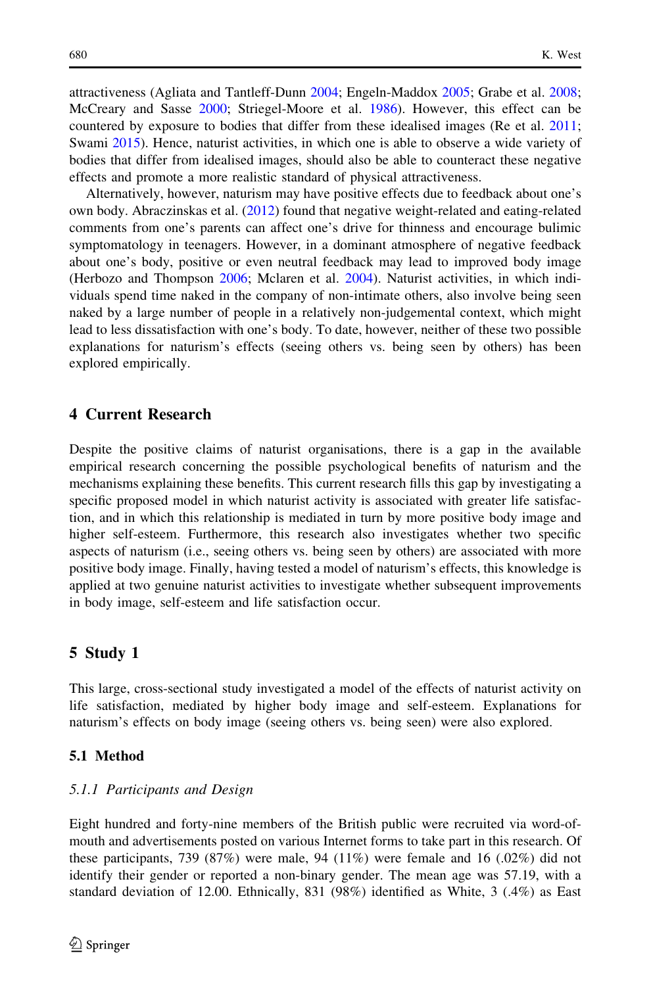attractiveness (Agliata and Tantleff-Dunn [2004;](#page-17-0) Engeln-Maddox [2005;](#page-18-0) Grabe et al. [2008;](#page-18-0) McCreary and Sasse [2000](#page-18-0); Striegel-Moore et al. [1986](#page-19-0)). However, this effect can be countered by exposure to bodies that differ from these idealised images (Re et al. [2011;](#page-19-0) Swami [2015\)](#page-19-0). Hence, naturist activities, in which one is able to observe a wide variety of bodies that differ from idealised images, should also be able to counteract these negative effects and promote a more realistic standard of physical attractiveness.

Alternatively, however, naturism may have positive effects due to feedback about one's own body. Abraczinskas et al. ([2012\)](#page-17-0) found that negative weight-related and eating-related comments from one's parents can affect one's drive for thinness and encourage bulimic symptomatology in teenagers. However, in a dominant atmosphere of negative feedback about one's body, positive or even neutral feedback may lead to improved body image (Herbozo and Thompson [2006](#page-18-0); Mclaren et al. [2004](#page-18-0)). Naturist activities, in which individuals spend time naked in the company of non-intimate others, also involve being seen naked by a large number of people in a relatively non-judgemental context, which might lead to less dissatisfaction with one's body. To date, however, neither of these two possible explanations for naturism's effects (seeing others vs. being seen by others) has been explored empirically.

# 4 Current Research

Despite the positive claims of naturist organisations, there is a gap in the available empirical research concerning the possible psychological benefits of naturism and the mechanisms explaining these benefits. This current research fills this gap by investigating a specific proposed model in which naturist activity is associated with greater life satisfaction, and in which this relationship is mediated in turn by more positive body image and higher self-esteem. Furthermore, this research also investigates whether two specific aspects of naturism (i.e., seeing others vs. being seen by others) are associated with more positive body image. Finally, having tested a model of naturism's effects, this knowledge is applied at two genuine naturist activities to investigate whether subsequent improvements in body image, self-esteem and life satisfaction occur.

# 5 Study 1

This large, cross-sectional study investigated a model of the effects of naturist activity on life satisfaction, mediated by higher body image and self-esteem. Explanations for naturism's effects on body image (seeing others vs. being seen) were also explored.

#### 5.1 Method

#### 5.1.1 Participants and Design

Eight hundred and forty-nine members of the British public were recruited via word-ofmouth and advertisements posted on various Internet forms to take part in this research. Of these participants, 739 (87%) were male, 94 (11%) were female and 16 (.02%) did not identify their gender or reported a non-binary gender. The mean age was 57.19, with a standard deviation of 12.00. Ethnically, 831 (98%) identified as White, 3 (.4%) as East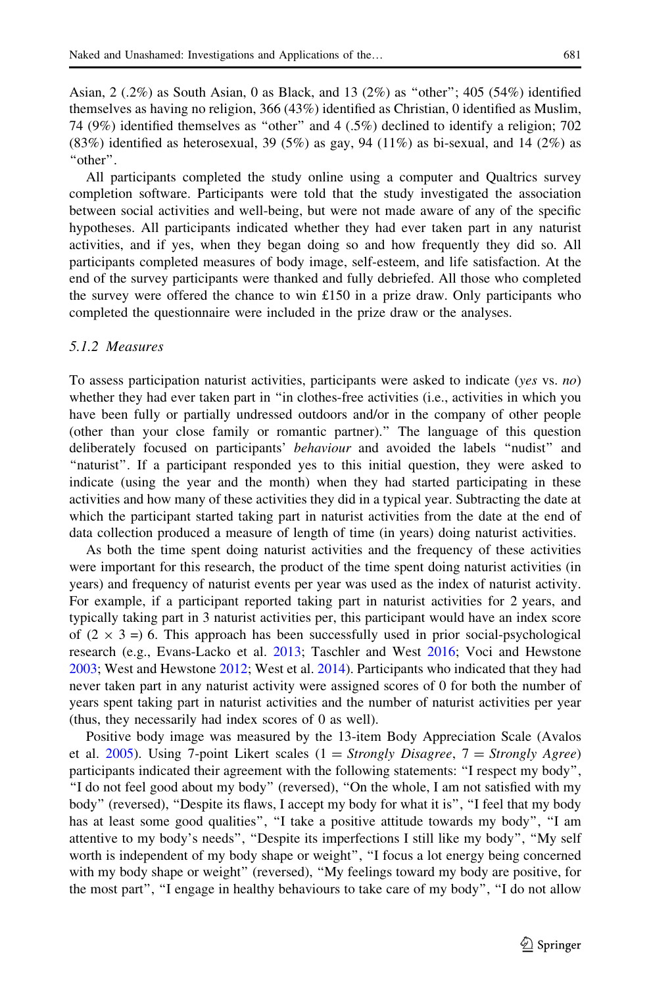Asian, 2 (.2%) as South Asian, 0 as Black, and 13 (2%) as ''other''; 405 (54%) identified themselves as having no religion, 366 (43%) identified as Christian, 0 identified as Muslim, 74 (9%) identified themselves as ''other'' and 4 (.5%) declined to identify a religion; 702  $(83\%)$  identified as heterosexual, 39 (5%) as gay, 94 (11%) as bi-sexual, and 14 (2%) as ''other''.

All participants completed the study online using a computer and Qualtrics survey completion software. Participants were told that the study investigated the association between social activities and well-being, but were not made aware of any of the specific hypotheses. All participants indicated whether they had ever taken part in any naturist activities, and if yes, when they began doing so and how frequently they did so. All participants completed measures of body image, self-esteem, and life satisfaction. At the end of the survey participants were thanked and fully debriefed. All those who completed the survey were offered the chance to win £150 in a prize draw. Only participants who completed the questionnaire were included in the prize draw or the analyses.

#### 5.1.2 Measures

To assess participation naturist activities, participants were asked to indicate (yes vs. no) whether they had ever taken part in "in clothes-free activities (i.e., activities in which you have been fully or partially undressed outdoors and/or in the company of other people (other than your close family or romantic partner).'' The language of this question deliberately focused on participants' *behaviour* and avoided the labels "nudist" and ''naturist''. If a participant responded yes to this initial question, they were asked to indicate (using the year and the month) when they had started participating in these activities and how many of these activities they did in a typical year. Subtracting the date at which the participant started taking part in naturist activities from the date at the end of data collection produced a measure of length of time (in years) doing naturist activities.

As both the time spent doing naturist activities and the frequency of these activities were important for this research, the product of the time spent doing naturist activities (in years) and frequency of naturist events per year was used as the index of naturist activity. For example, if a participant reported taking part in naturist activities for 2 years, and typically taking part in 3 naturist activities per, this participant would have an index score of  $(2 \times 3 =)$  6. This approach has been successfully used in prior social-psychological research (e.g., Evans-Lacko et al. [2013](#page-18-0); Taschler and West [2016;](#page-20-0) Voci and Hewstone [2003;](#page-20-0) West and Hewstone [2012](#page-20-0); West et al. [2014](#page-20-0)). Participants who indicated that they had never taken part in any naturist activity were assigned scores of 0 for both the number of years spent taking part in naturist activities and the number of naturist activities per year (thus, they necessarily had index scores of 0 as well).

Positive body image was measured by the 13-item Body Appreciation Scale (Avalos et al. [2005](#page-17-0)). Using 7-point Likert scales  $(1 = Strongly Disagree, 7 = Strongly Agee)$ participants indicated their agreement with the following statements: ''I respect my body'', ''I do not feel good about my body'' (reversed), ''On the whole, I am not satisfied with my body'' (reversed), ''Despite its flaws, I accept my body for what it is'', ''I feel that my body has at least some good qualities", "I take a positive attitude towards my body", "I am attentive to my body's needs'', ''Despite its imperfections I still like my body'', ''My self worth is independent of my body shape or weight", "I focus a lot energy being concerned with my body shape or weight'' (reversed), ''My feelings toward my body are positive, for the most part'', ''I engage in healthy behaviours to take care of my body'', ''I do not allow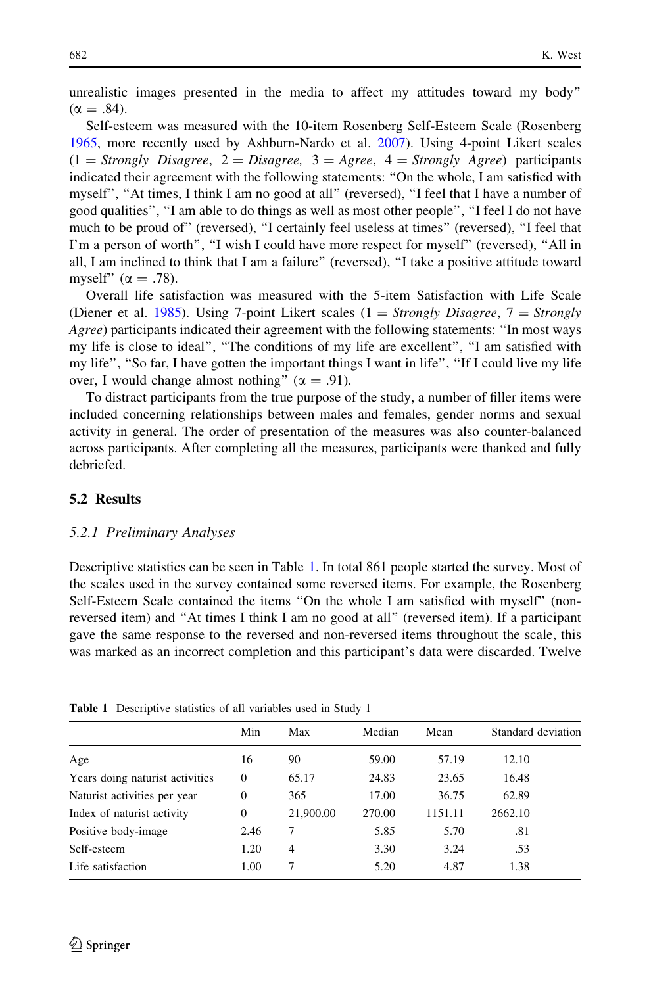unrealistic images presented in the media to affect my attitudes toward my body''  $(\alpha = .84)$ .

Self-esteem was measured with the 10-item Rosenberg Self-Esteem Scale (Rosenberg [1965,](#page-19-0) more recently used by Ashburn-Nardo et al. [2007\)](#page-17-0). Using 4-point Likert scales  $(1 = Strongly Disagree, 2 = Disagree, 3 = Agree, 4 = Strongly Agree)$  participants indicated their agreement with the following statements: ''On the whole, I am satisfied with myself", "At times, I think I am no good at all" (reversed), "I feel that I have a number of good qualities'', ''I am able to do things as well as most other people'', ''I feel I do not have much to be proud of" (reversed), "I certainly feel useless at times" (reversed), "I feel that I'm a person of worth", "I wish I could have more respect for myself" (reversed), "All in all, I am inclined to think that I am a failure" (reversed), "I take a positive attitude toward myself" ( $\alpha = .78$ ).

Overall life satisfaction was measured with the 5-item Satisfaction with Life Scale (Diener et al. [1985\)](#page-18-0). Using 7-point Likert scales (1 = Strongly Disagree, 7 = Strongly Agree) participants indicated their agreement with the following statements: ''In most ways my life is close to ideal'', ''The conditions of my life are excellent'', ''I am satisfied with my life'', ''So far, I have gotten the important things I want in life'', ''If I could live my life over, I would change almost nothing" ( $\alpha = .91$ ).

To distract participants from the true purpose of the study, a number of filler items were included concerning relationships between males and females, gender norms and sexual activity in general. The order of presentation of the measures was also counter-balanced across participants. After completing all the measures, participants were thanked and fully debriefed.

### 5.2 Results

#### 5.2.1 Preliminary Analyses

Descriptive statistics can be seen in Table 1. In total 861 people started the survey. Most of the scales used in the survey contained some reversed items. For example, the Rosenberg Self-Esteem Scale contained the items "On the whole I am satisfied with myself" (nonreversed item) and ''At times I think I am no good at all'' (reversed item). If a participant gave the same response to the reversed and non-reversed items throughout the scale, this was marked as an incorrect completion and this participant's data were discarded. Twelve

|                                 | Min          | Max       | Median | Mean    | Standard deviation |
|---------------------------------|--------------|-----------|--------|---------|--------------------|
| Age                             | 16           | 90        | 59.00  | 57.19   | 12.10              |
| Years doing naturist activities | $\mathbf{0}$ | 65.17     | 24.83  | 23.65   | 16.48              |
| Naturist activities per year    | $\mathbf{0}$ | 365       | 17.00  | 36.75   | 62.89              |
| Index of naturist activity      | $\mathbf{0}$ | 21,900.00 | 270.00 | 1151.11 | 2662.10            |
| Positive body-image             | 2.46         | 7         | 5.85   | 5.70    | .81                |
| Self-esteem                     | 1.20         | 4         | 3.30   | 3.24    | .53                |
| Life satisfaction               | 1.00         | 7         | 5.20   | 4.87    | 1.38               |

Table 1 Descriptive statistics of all variables used in Study 1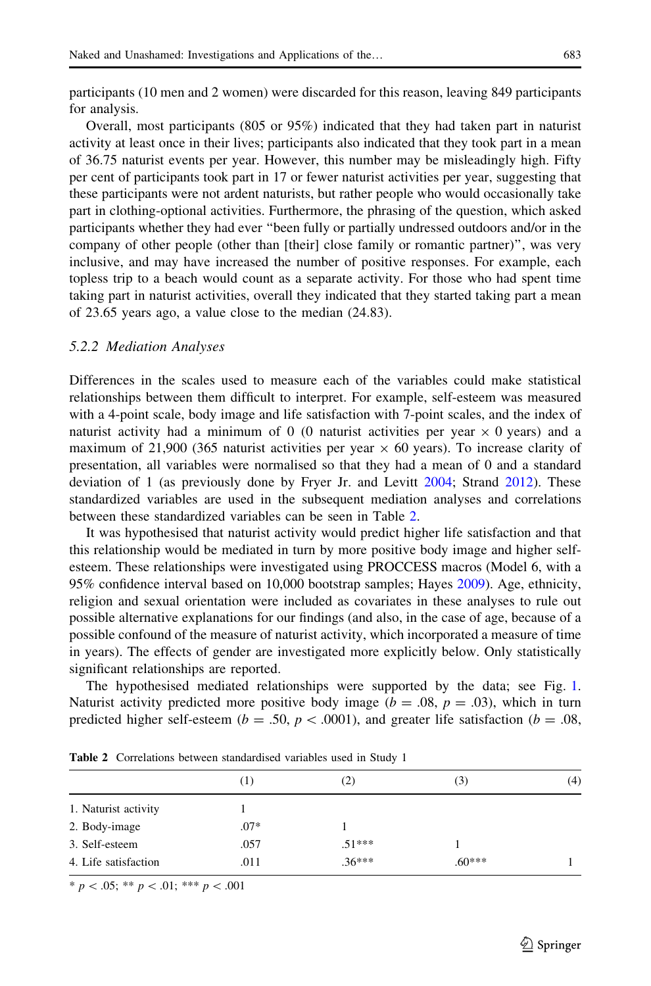participants (10 men and 2 women) were discarded for this reason, leaving 849 participants for analysis.

Overall, most participants (805 or 95%) indicated that they had taken part in naturist activity at least once in their lives; participants also indicated that they took part in a mean of 36.75 naturist events per year. However, this number may be misleadingly high. Fifty per cent of participants took part in 17 or fewer naturist activities per year, suggesting that these participants were not ardent naturists, but rather people who would occasionally take part in clothing-optional activities. Furthermore, the phrasing of the question, which asked participants whether they had ever ''been fully or partially undressed outdoors and/or in the company of other people (other than [their] close family or romantic partner)'', was very inclusive, and may have increased the number of positive responses. For example, each topless trip to a beach would count as a separate activity. For those who had spent time taking part in naturist activities, overall they indicated that they started taking part a mean of 23.65 years ago, a value close to the median (24.83).

#### 5.2.2 Mediation Analyses

Differences in the scales used to measure each of the variables could make statistical relationships between them difficult to interpret. For example, self-esteem was measured with a 4-point scale, body image and life satisfaction with 7-point scales, and the index of naturist activity had a minimum of 0 (0 naturist activities per year  $\times$  0 years) and a maximum of 21,900 (365 naturist activities per year  $\times$  60 years). To increase clarity of presentation, all variables were normalised so that they had a mean of 0 and a standard deviation of 1 (as previously done by Fryer Jr. and Levitt [2004](#page-18-0); Strand [2012](#page-19-0)). These standardized variables are used in the subsequent mediation analyses and correlations between these standardized variables can be seen in Table 2.

It was hypothesised that naturist activity would predict higher life satisfaction and that this relationship would be mediated in turn by more positive body image and higher selfesteem. These relationships were investigated using PROCCESS macros (Model 6, with a 95% confidence interval based on 10,000 bootstrap samples; Hayes [2009\)](#page-18-0). Age, ethnicity, religion and sexual orientation were included as covariates in these analyses to rule out possible alternative explanations for our findings (and also, in the case of age, because of a possible confound of the measure of naturist activity, which incorporated a measure of time in years). The effects of gender are investigated more explicitly below. Only statistically significant relationships are reported.

The hypothesised mediated relationships were supported by the data; see Fig. [1](#page-7-0). Naturist activity predicted more positive body image ( $b = .08$ ,  $p = .03$ ), which in turn predicted higher self-esteem ( $b = .50$ ,  $p < .0001$ ), and greater life satisfaction ( $b = .08$ ,

|                      | (1)    | (2)      | (3)      | (4) |
|----------------------|--------|----------|----------|-----|
| 1. Naturist activity |        |          |          |     |
| 2. Body-image        | $.07*$ |          |          |     |
| 3. Self-esteem       | .057   | $.51***$ |          |     |
| 4. Life satisfaction | .011   | $.36***$ | $.60***$ |     |

Table 2 Correlations between standardised variables used in Study 1

 $* p < .05; ** p < .01; *** p < .001$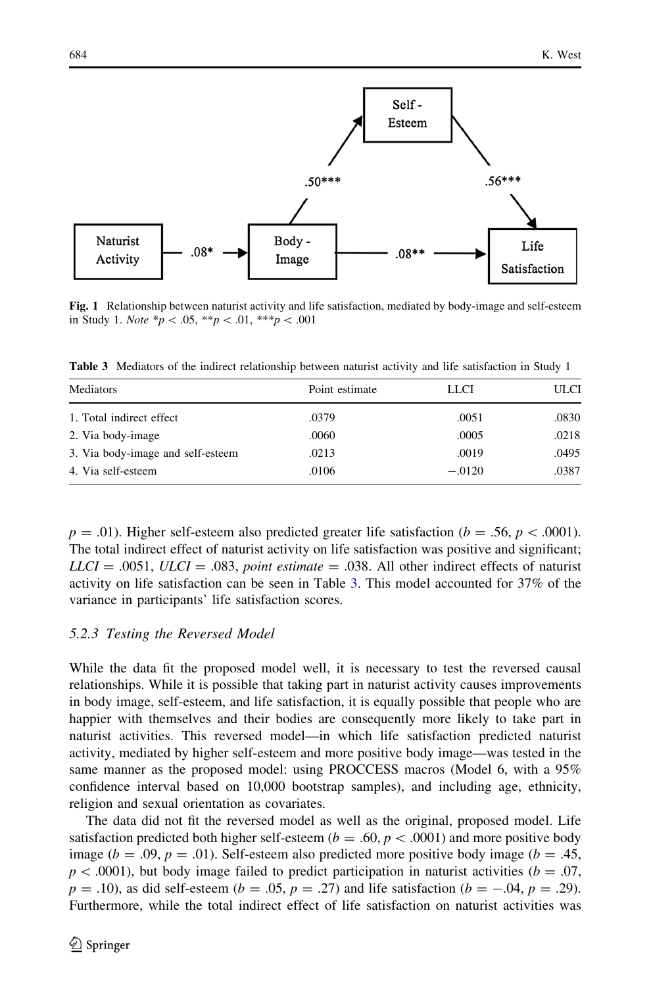<span id="page-7-0"></span>Self-Esteem  $.50***$  $.56***$ Naturist Body -Life  $.08*$ ሰጸ Activity Image Satisfaction

Fig. 1 Relationship between naturist activity and life satisfaction, mediated by body-image and self-esteem in Study 1. Note  $*p$  < .05,  $**p$  < .01,  $***p$  < .001

| Mediators                         | Point estimate | LLCI     | <b>ULCI</b> |  |
|-----------------------------------|----------------|----------|-------------|--|
| 1. Total indirect effect          | .0379          | .0051    | .0830       |  |
| 2. Via body-image                 | .0060          | .0005    | .0218       |  |
| 3. Via body-image and self-esteem | .0213          | .0019    | .0495       |  |
| 4. Via self-esteem                | .0106          | $-.0120$ | .0387       |  |

Table 3 Mediators of the indirect relationship between naturist activity and life satisfaction in Study 1

 $p = .01$ ). Higher self-esteem also predicted greater life satisfaction ( $b = .56$ ,  $p < .0001$ ). The total indirect effect of naturist activity on life satisfaction was positive and significant;  $LLCI = .0051$ ,  $ULCI = .083$ , point estimate = .038. All other indirect effects of naturist activity on life satisfaction can be seen in Table 3. This model accounted for 37% of the variance in participants' life satisfaction scores.

#### 5.2.3 Testing the Reversed Model

While the data fit the proposed model well, it is necessary to test the reversed causal relationships. While it is possible that taking part in naturist activity causes improvements in body image, self-esteem, and life satisfaction, it is equally possible that people who are happier with themselves and their bodies are consequently more likely to take part in naturist activities. This reversed model—in which life satisfaction predicted naturist activity, mediated by higher self-esteem and more positive body image—was tested in the same manner as the proposed model: using PROCCESS macros (Model 6, with a 95% confidence interval based on 10,000 bootstrap samples), and including age, ethnicity, religion and sexual orientation as covariates.

The data did not fit the reversed model as well as the original, proposed model. Life satisfaction predicted both higher self-esteem ( $b = .60$ ,  $p < .0001$ ) and more positive body image ( $b = .09$ ,  $p = .01$ ). Self-esteem also predicted more positive body image ( $b = .45$ ,  $p$  < .0001), but body image failed to predict participation in naturist activities ( $b = .07$ ,  $p = .10$ , as did self-esteem ( $b = .05$ ,  $p = .27$ ) and life satisfaction ( $b = -.04$ ,  $p = .29$ ). Furthermore, while the total indirect effect of life satisfaction on naturist activities was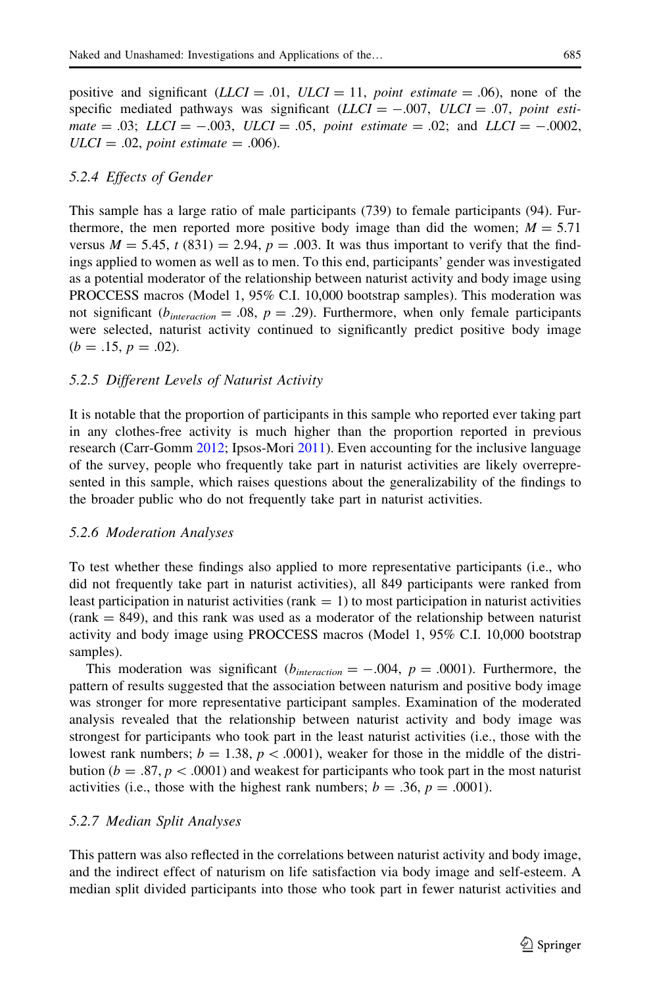positive and significant (LLCI = .01, ULCI = 11, point estimate = .06), none of the specific mediated pathways was significant  $(LLCI = -.007, ULCI = .07, point \; esti$ mate  $= .03$ ; LLCI  $= -.003$ , ULCI  $= .05$ , point estimate  $= .02$ ; and LLCI  $= -.0002$ ,  $ULCI = .02$ , point estimate  $= .006$ ).

### 5.2.4 Effects of Gender

This sample has a large ratio of male participants (739) to female participants (94). Furthermore, the men reported more positive body image than did the women;  $M = 5.71$ versus  $M = 5.45$ , t (831) = 2.94, p = .003. It was thus important to verify that the findings applied to women as well as to men. To this end, participants' gender was investigated as a potential moderator of the relationship between naturist activity and body image using PROCCESS macros (Model 1, 95% C.I. 10,000 bootstrap samples). This moderation was not significant ( $b_{interaction} = .08$ ,  $p = .29$ ). Furthermore, when only female participants were selected, naturist activity continued to significantly predict positive body image  $(b = .15, p = .02).$ 

#### 5.2.5 Different Levels of Naturist Activity

It is notable that the proportion of participants in this sample who reported ever taking part in any clothes-free activity is much higher than the proportion reported in previous research (Carr-Gomm [2012;](#page-17-0) Ipsos-Mori [2011](#page-18-0)). Even accounting for the inclusive language of the survey, people who frequently take part in naturist activities are likely overrepresented in this sample, which raises questions about the generalizability of the findings to the broader public who do not frequently take part in naturist activities.

#### 5.2.6 Moderation Analyses

To test whether these findings also applied to more representative participants (i.e., who did not frequently take part in naturist activities), all 849 participants were ranked from least participation in naturist activities (rank  $= 1$ ) to most participation in naturist activities  $(rank = 849)$ , and this rank was used as a moderator of the relationship between naturist activity and body image using PROCCESS macros (Model 1, 95% C.I. 10,000 bootstrap samples).

This moderation was significant  $(b<sub>interaction</sub> = -.004, p = .0001)$ . Furthermore, the pattern of results suggested that the association between naturism and positive body image was stronger for more representative participant samples. Examination of the moderated analysis revealed that the relationship between naturist activity and body image was strongest for participants who took part in the least naturist activities (i.e., those with the lowest rank numbers;  $b = 1.38$ ,  $p < .0001$ ), weaker for those in the middle of the distribution ( $b = .87$ ,  $p < .0001$ ) and weakest for participants who took part in the most naturist activities (i.e., those with the highest rank numbers;  $b = .36$ ,  $p = .0001$ ).

#### 5.2.7 Median Split Analyses

This pattern was also reflected in the correlations between naturist activity and body image, and the indirect effect of naturism on life satisfaction via body image and self-esteem. A median split divided participants into those who took part in fewer naturist activities and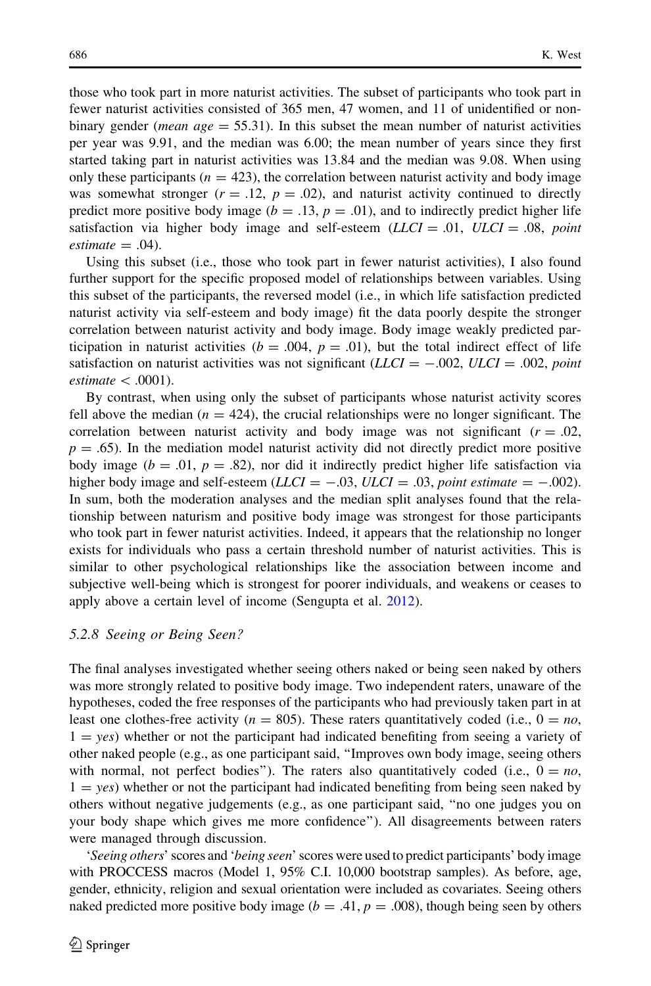those who took part in more naturist activities. The subset of participants who took part in fewer naturist activities consisted of 365 men, 47 women, and 11 of unidentified or nonbinary gender (*mean age*  $=$  55.31). In this subset the mean number of naturist activities per year was 9.91, and the median was 6.00; the mean number of years since they first started taking part in naturist activities was 13.84 and the median was 9.08. When using only these participants ( $n = 423$ ), the correlation between naturist activity and body image was somewhat stronger  $(r = .12, p = .02)$ , and naturist activity continued to directly predict more positive body image ( $b = .13$ ,  $p = .01$ ), and to indirectly predict higher life satisfaction via higher body image and self-esteem  $(LLCI = .01, ULCI = .08, point$  $estimate = .04$ ).

Using this subset (i.e., those who took part in fewer naturist activities), I also found further support for the specific proposed model of relationships between variables. Using this subset of the participants, the reversed model (i.e., in which life satisfaction predicted naturist activity via self-esteem and body image) fit the data poorly despite the stronger correlation between naturist activity and body image. Body image weakly predicted participation in naturist activities ( $b = .004$ ,  $p = .01$ ), but the total indirect effect of life satisfaction on naturist activities was not significant ( $LLCI = -.002$ ,  $ULCI = .002$ , point  $estimate < .0001$ ).

By contrast, when using only the subset of participants whose naturist activity scores fell above the median ( $n = 424$ ), the crucial relationships were no longer significant. The correlation between naturist activity and body image was not significant  $(r = .02, )$  $p = .65$ ). In the mediation model naturist activity did not directly predict more positive body image ( $b = .01$ ,  $p = .82$ ), nor did it indirectly predict higher life satisfaction via higher body image and self-esteem  $(LLI = -.03, ULCI = .03, point estimate = -.002)$ . In sum, both the moderation analyses and the median split analyses found that the relationship between naturism and positive body image was strongest for those participants who took part in fewer naturist activities. Indeed, it appears that the relationship no longer exists for individuals who pass a certain threshold number of naturist activities. This is similar to other psychological relationships like the association between income and subjective well-being which is strongest for poorer individuals, and weakens or ceases to apply above a certain level of income (Sengupta et al. [2012](#page-19-0)).

#### 5.2.8 Seeing or Being Seen?

The final analyses investigated whether seeing others naked or being seen naked by others was more strongly related to positive body image. Two independent raters, unaware of the hypotheses, coded the free responses of the participants who had previously taken part in at least one clothes-free activity ( $n = 805$ ). These raters quantitatively coded (i.e.,  $0 = no$ ,  $1 = yes$ ) whether or not the participant had indicated benefiting from seeing a variety of other naked people (e.g., as one participant said, ''Improves own body image, seeing others with normal, not perfect bodies"). The raters also quantitatively coded (i.e.,  $0 = no$ ,  $1 = yes$ ) whether or not the participant had indicated benefiting from being seen naked by others without negative judgements (e.g., as one participant said, ''no one judges you on your body shape which gives me more confidence''). All disagreements between raters were managed through discussion.

'Seeing others' scores and 'being seen' scores were used to predict participants' body image with PROCCESS macros (Model 1, 95% C.I. 10,000 bootstrap samples). As before, age, gender, ethnicity, religion and sexual orientation were included as covariates. Seeing others naked predicted more positive body image ( $b = .41$ ,  $p = .008$ ), though being seen by others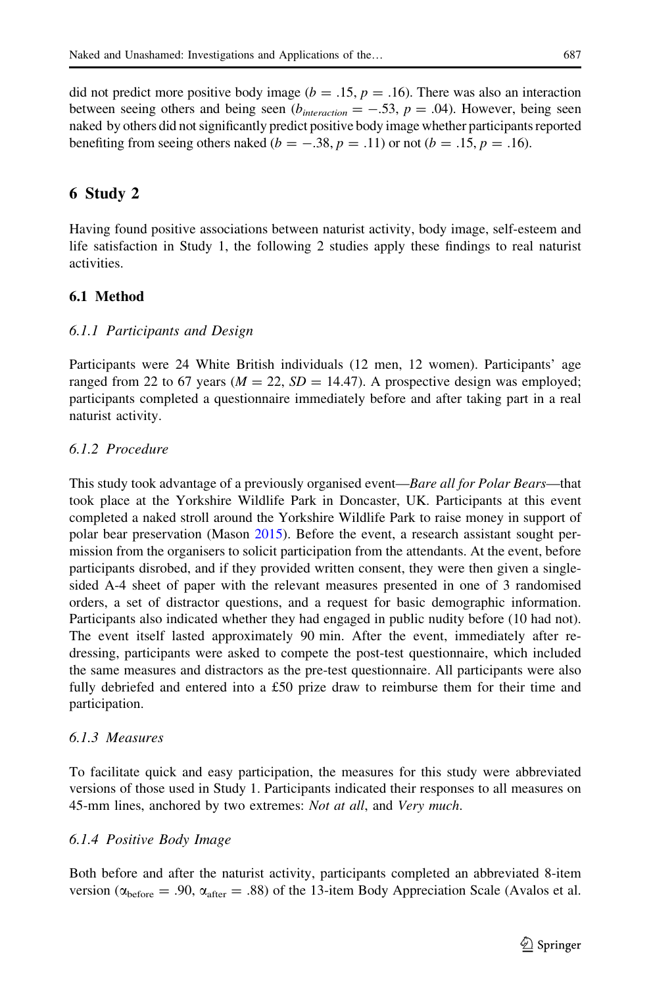did not predict more positive body image ( $b = .15$ ,  $p = .16$ ). There was also an interaction between seeing others and being seen ( $b_{interaction} = -.53$ ,  $p = .04$ ). However, being seen naked by others did not significantly predict positive body image whether participants reported benefiting from seeing others naked ( $b = -.38$ ,  $p = .11$ ) or not ( $b = .15$ ,  $p = .16$ ).

# 6 Study 2

Having found positive associations between naturist activity, body image, self-esteem and life satisfaction in Study 1, the following 2 studies apply these findings to real naturist activities.

# 6.1 Method

#### 6.1.1 Participants and Design

Participants were 24 White British individuals (12 men, 12 women). Participants' age ranged from 22 to 67 years ( $M = 22$ ,  $SD = 14.47$ ). A prospective design was employed; participants completed a questionnaire immediately before and after taking part in a real naturist activity.

#### 6.1.2 Procedure

This study took advantage of a previously organised event—Bare all for Polar Bears—that took place at the Yorkshire Wildlife Park in Doncaster, UK. Participants at this event completed a naked stroll around the Yorkshire Wildlife Park to raise money in support of polar bear preservation (Mason [2015\)](#page-18-0). Before the event, a research assistant sought permission from the organisers to solicit participation from the attendants. At the event, before participants disrobed, and if they provided written consent, they were then given a singlesided A-4 sheet of paper with the relevant measures presented in one of 3 randomised orders, a set of distractor questions, and a request for basic demographic information. Participants also indicated whether they had engaged in public nudity before (10 had not). The event itself lasted approximately 90 min. After the event, immediately after redressing, participants were asked to compete the post-test questionnaire, which included the same measures and distractors as the pre-test questionnaire. All participants were also fully debriefed and entered into a £50 prize draw to reimburse them for their time and participation.

#### 6.1.3 Measures

To facilitate quick and easy participation, the measures for this study were abbreviated versions of those used in Study 1. Participants indicated their responses to all measures on 45-mm lines, anchored by two extremes: *Not at all*, and *Very much*.

#### 6.1.4 Positive Body Image

Both before and after the naturist activity, participants completed an abbreviated 8-item version ( $\alpha_{before} = .90$ ,  $\alpha_{after} = .88$ ) of the 13-item Body Appreciation Scale (Avalos et al.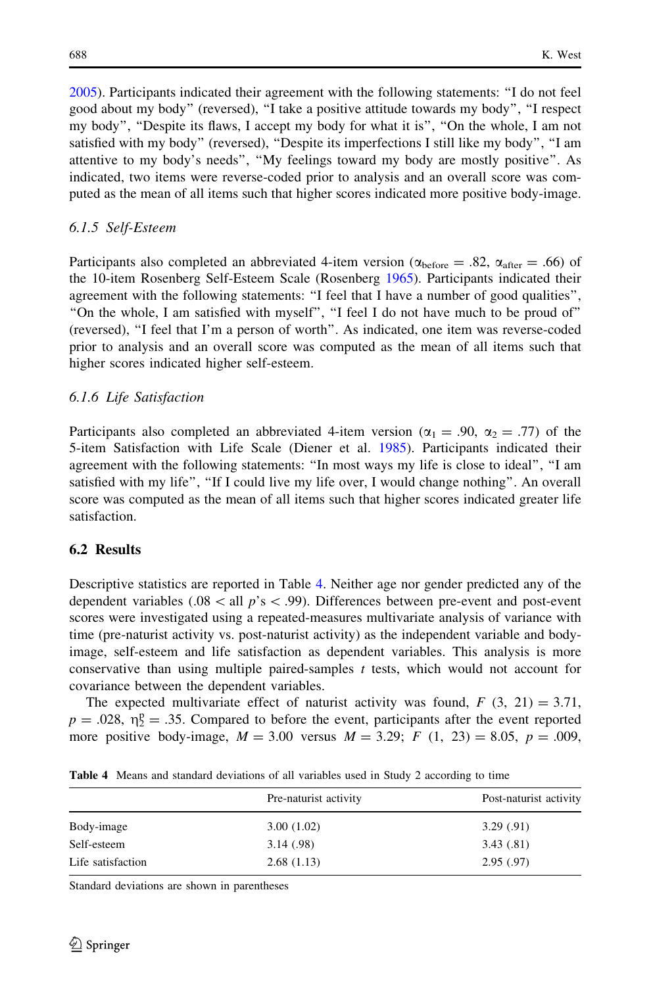[2005\)](#page-17-0). Participants indicated their agreement with the following statements: ''I do not feel good about my body'' (reversed), ''I take a positive attitude towards my body'', ''I respect my body", "Despite its flaws, I accept my body for what it is", "On the whole, I am not satisfied with my body" (reversed), "Despite its imperfections I still like my body", "I am attentive to my body's needs'', ''My feelings toward my body are mostly positive''. As indicated, two items were reverse-coded prior to analysis and an overall score was computed as the mean of all items such that higher scores indicated more positive body-image.

### 6.1.5 Self-Esteem

Participants also completed an abbreviated 4-item version ( $\alpha_{before} = .82$ ,  $\alpha_{after} = .66$ ) of the 10-item Rosenberg Self-Esteem Scale (Rosenberg [1965](#page-19-0)). Participants indicated their agreement with the following statements: ''I feel that I have a number of good qualities'', ''On the whole, I am satisfied with myself'', ''I feel I do not have much to be proud of'' (reversed), ''I feel that I'm a person of worth''. As indicated, one item was reverse-coded prior to analysis and an overall score was computed as the mean of all items such that higher scores indicated higher self-esteem.

### 6.1.6 Life Satisfaction

Participants also completed an abbreviated 4-item version ( $\alpha_1 = .90$ ,  $\alpha_2 = .77$ ) of the 5-item Satisfaction with Life Scale (Diener et al. [1985\)](#page-18-0). Participants indicated their agreement with the following statements: ''In most ways my life is close to ideal'', ''I am satisfied with my life'', ''If I could live my life over, I would change nothing''. An overall score was computed as the mean of all items such that higher scores indicated greater life satisfaction.

#### 6.2 Results

Descriptive statistics are reported in Table 4. Neither age nor gender predicted any of the dependent variables ( $.08\lt all p's<0.99$ ). Differences between pre-event and post-event scores were investigated using a repeated-measures multivariate analysis of variance with time (pre-naturist activity vs. post-naturist activity) as the independent variable and bodyimage, self-esteem and life satisfaction as dependent variables. This analysis is more conservative than using multiple paired-samples  $t$  tests, which would not account for covariance between the dependent variables.

The expected multivariate effect of naturist activity was found,  $F(3, 21) = 3.71$ ,  $p = .028$ ,  $\eta_2^p = .35$ . Compared to before the event, participants after the event reported more positive body-image,  $M = 3.00$  versus  $M = 3.29$ ;  $F(1, 23) = 8.05$ ,  $p = .009$ ,

|                   | Pre-naturist activity | Post-naturist activity |  |
|-------------------|-----------------------|------------------------|--|
| Body-image        | 3.00(1.02)            | 3.29(0.91)             |  |
| Self-esteem       | 3.14(0.98)            | 3.43(.81)              |  |
| Life satisfaction | 2.68(1.13)            | 2.95(.97)              |  |

Table 4 Means and standard deviations of all variables used in Study 2 according to time

Standard deviations are shown in parentheses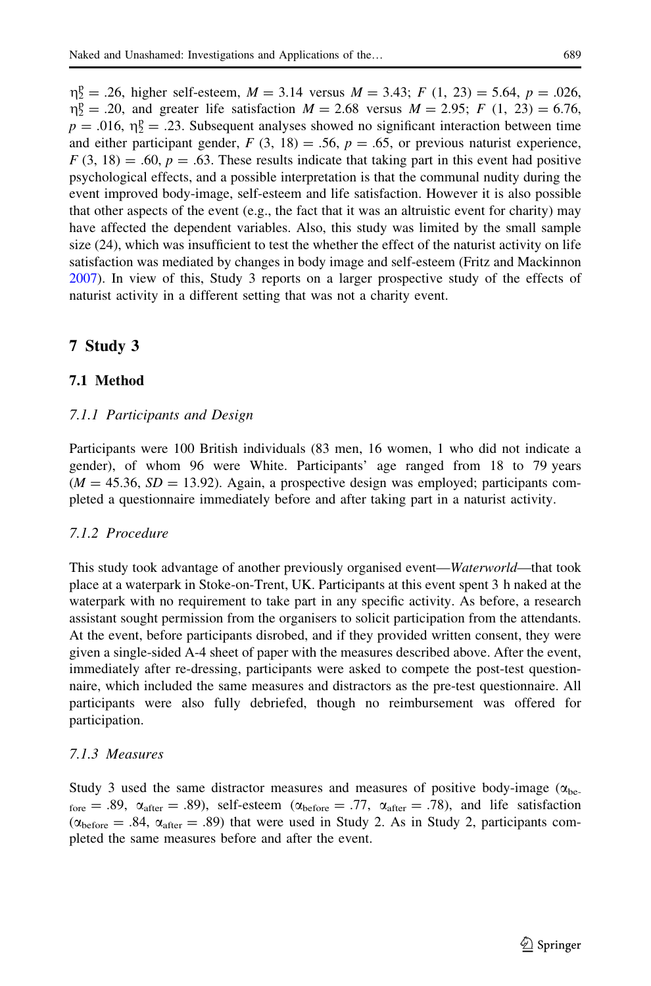$\eta_2^p = .26$ , higher self-esteem,  $M = 3.14$  versus  $M = 3.43$ ;  $F(1, 23) = 5.64$ ,  $p = .026$ ,  $n_2^p = .20$ , and greater life satisfaction  $M = 2.68$  versus  $M = 2.95$ ;  $F (1, 23) = 6.76$ ,  $p = .016$ ,  $\eta_2^p = .23$ . Subsequent analyses showed no significant interaction between time and either participant gender,  $F(3, 18) = .56$ ,  $p = .65$ , or previous naturist experience,  $F(3, 18) = .60, p = .63$ . These results indicate that taking part in this event had positive psychological effects, and a possible interpretation is that the communal nudity during the event improved body-image, self-esteem and life satisfaction. However it is also possible that other aspects of the event (e.g., the fact that it was an altruistic event for charity) may have affected the dependent variables. Also, this study was limited by the small sample size (24), which was insufficient to test the whether the effect of the naturist activity on life satisfaction was mediated by changes in body image and self-esteem (Fritz and Mackinnon [2007\)](#page-18-0). In view of this, Study 3 reports on a larger prospective study of the effects of naturist activity in a different setting that was not a charity event.

# 7 Study 3

# 7.1 Method

## 7.1.1 Participants and Design

Participants were 100 British individuals (83 men, 16 women, 1 who did not indicate a gender), of whom 96 were White. Participants' age ranged from 18 to 79 years  $(M = 45.36, SD = 13.92)$ . Again, a prospective design was employed; participants completed a questionnaire immediately before and after taking part in a naturist activity.

## 7.1.2 Procedure

This study took advantage of another previously organised event—Waterworld—that took place at a waterpark in Stoke-on-Trent, UK. Participants at this event spent 3 h naked at the waterpark with no requirement to take part in any specific activity. As before, a research assistant sought permission from the organisers to solicit participation from the attendants. At the event, before participants disrobed, and if they provided written consent, they were given a single-sided A-4 sheet of paper with the measures described above. After the event, immediately after re-dressing, participants were asked to compete the post-test questionnaire, which included the same measures and distractors as the pre-test questionnaire. All participants were also fully debriefed, though no reimbursement was offered for participation.

## 7.1.3 Measures

Study 3 used the same distractor measures and measures of positive body-image ( $\alpha_{\text{be}}$ )  $f_{\text{core}} = .89$ ,  $\alpha_{\text{after}} = .89$ , self-esteem ( $\alpha_{\text{before}} = .77$ ,  $\alpha_{\text{after}} = .78$ ), and life satisfaction  $(\alpha_{before} = .84, \alpha_{after} = .89)$  that were used in Study 2. As in Study 2, participants completed the same measures before and after the event.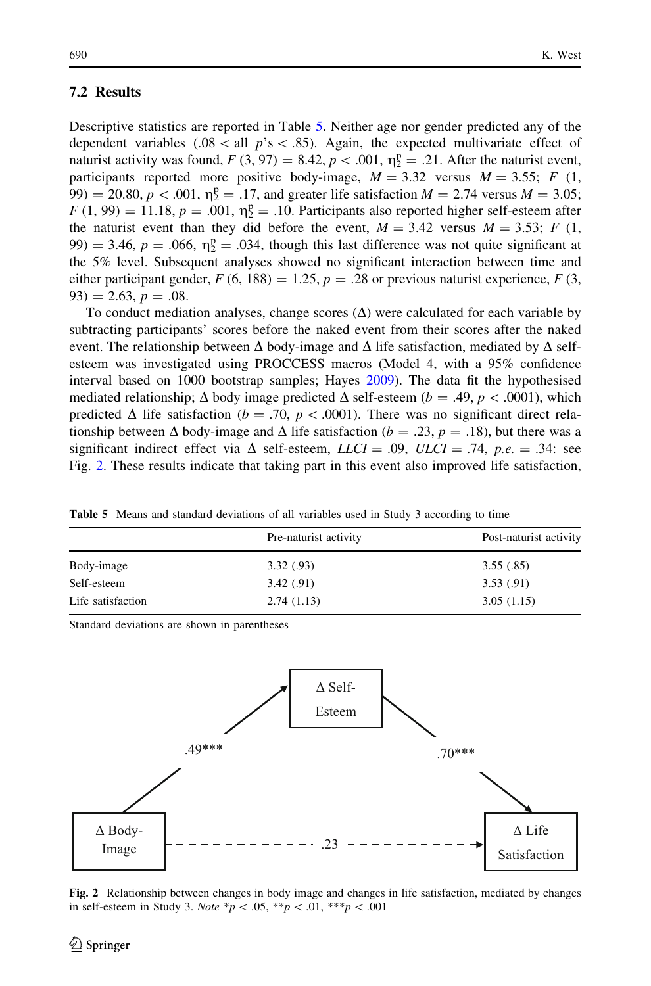### 7.2 Results

Descriptive statistics are reported in Table 5. Neither age nor gender predicted any of the dependent variables (.08  $\lt$  all p's  $\lt$  .85). Again, the expected multivariate effect of naturist activity was found,  $F(3, 97) = 8.42, p < .001, \eta_2^p = .21$ . After the naturist event, participants reported more positive body-image,  $M = 3.32$  versus  $M = 3.55$ ; F (1, 99) = 20.80,  $p < .001$ ,  $\eta_2^p = .17$ , and greater life satisfaction  $M = 2.74$  versus  $M = 3.05$ ;  $F(1, 99) = 11.18$ ,  $p = .001$ ,  $\eta_2^p = .10$ . Participants also reported higher self-esteem after the naturist event than they did before the event,  $M = 3.42$  versus  $M = 3.53$ ; F (1, 99) = 3.46,  $p = .066$ ,  $\eta_2^p = .034$ , though this last difference was not quite significant at the 5% level. Subsequent analyses showed no significant interaction between time and either participant gender,  $F(6, 188) = 1.25, p = .28$  or previous naturist experience,  $F(3, 188) = 1.25, p = .28$  $93) = 2.63, p = .08.$ 

To conduct mediation analyses, change scores  $(\Delta)$  were calculated for each variable by subtracting participants' scores before the naked event from their scores after the naked event. The relationship between  $\Delta$  body-image and  $\Delta$  life satisfaction, mediated by  $\Delta$  selfesteem was investigated using PROCCESS macros (Model 4, with a 95% confidence interval based on 1000 bootstrap samples; Hayes [2009](#page-18-0)). The data fit the hypothesised mediated relationship;  $\Delta$  body image predicted  $\Delta$  self-esteem ( $b = .49$ ,  $p < .0001$ ), which predicted  $\Delta$  life satisfaction ( $b = .70$ ,  $p < .0001$ ). There was no significant direct relationship between  $\Delta$  body-image and  $\Delta$  life satisfaction ( $b = .23$ ,  $p = .18$ ), but there was a significant indirect effect via  $\Delta$  self-esteem, *LLCI* = .09, *ULCI* = .74, *p.e.* = .34: see Fig. 2. These results indicate that taking part in this event also improved life satisfaction,

|  | <b>Table 5</b> Means and standard deviations of all variables used in Study 3 according to time |  |  |  |  |  |  |  |  |
|--|-------------------------------------------------------------------------------------------------|--|--|--|--|--|--|--|--|
|--|-------------------------------------------------------------------------------------------------|--|--|--|--|--|--|--|--|

|                   | Pre-naturist activity | Post-naturist activity |  |  |
|-------------------|-----------------------|------------------------|--|--|
|                   |                       |                        |  |  |
| Body-image        | 3.32(.93)             | 3.55(.85)              |  |  |
| Self-esteem       | 3.42(.91)             | 3.53(.91)              |  |  |
| Life satisfaction | 2.74(1.13)            | 3.05(1.15)             |  |  |

Standard deviations are shown in parentheses



Fig. 2 Relationship between changes in body image and changes in life satisfaction, mediated by changes in self-esteem in Study 3. Note \*p < .05, \*\*p < .01, \*\*\*p < .001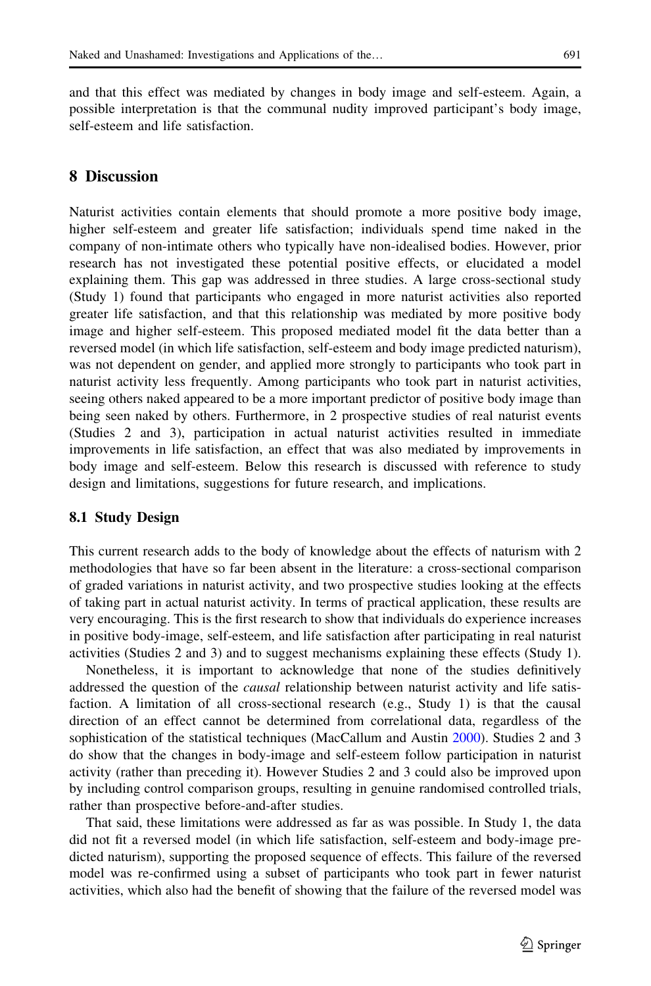and that this effect was mediated by changes in body image and self-esteem. Again, a possible interpretation is that the communal nudity improved participant's body image, self-esteem and life satisfaction.

# 8 Discussion

Naturist activities contain elements that should promote a more positive body image, higher self-esteem and greater life satisfaction; individuals spend time naked in the company of non-intimate others who typically have non-idealised bodies. However, prior research has not investigated these potential positive effects, or elucidated a model explaining them. This gap was addressed in three studies. A large cross-sectional study (Study 1) found that participants who engaged in more naturist activities also reported greater life satisfaction, and that this relationship was mediated by more positive body image and higher self-esteem. This proposed mediated model fit the data better than a reversed model (in which life satisfaction, self-esteem and body image predicted naturism), was not dependent on gender, and applied more strongly to participants who took part in naturist activity less frequently. Among participants who took part in naturist activities, seeing others naked appeared to be a more important predictor of positive body image than being seen naked by others. Furthermore, in 2 prospective studies of real naturist events (Studies 2 and 3), participation in actual naturist activities resulted in immediate improvements in life satisfaction, an effect that was also mediated by improvements in body image and self-esteem. Below this research is discussed with reference to study design and limitations, suggestions for future research, and implications.

#### 8.1 Study Design

This current research adds to the body of knowledge about the effects of naturism with 2 methodologies that have so far been absent in the literature: a cross-sectional comparison of graded variations in naturist activity, and two prospective studies looking at the effects of taking part in actual naturist activity. In terms of practical application, these results are very encouraging. This is the first research to show that individuals do experience increases in positive body-image, self-esteem, and life satisfaction after participating in real naturist activities (Studies 2 and 3) and to suggest mechanisms explaining these effects (Study 1).

Nonetheless, it is important to acknowledge that none of the studies definitively addressed the question of the *causal* relationship between naturist activity and life satisfaction. A limitation of all cross-sectional research (e.g., Study 1) is that the causal direction of an effect cannot be determined from correlational data, regardless of the sophistication of the statistical techniques (MacCallum and Austin [2000\)](#page-18-0). Studies 2 and 3 do show that the changes in body-image and self-esteem follow participation in naturist activity (rather than preceding it). However Studies 2 and 3 could also be improved upon by including control comparison groups, resulting in genuine randomised controlled trials, rather than prospective before-and-after studies.

That said, these limitations were addressed as far as was possible. In Study 1, the data did not fit a reversed model (in which life satisfaction, self-esteem and body-image predicted naturism), supporting the proposed sequence of effects. This failure of the reversed model was re-confirmed using a subset of participants who took part in fewer naturist activities, which also had the benefit of showing that the failure of the reversed model was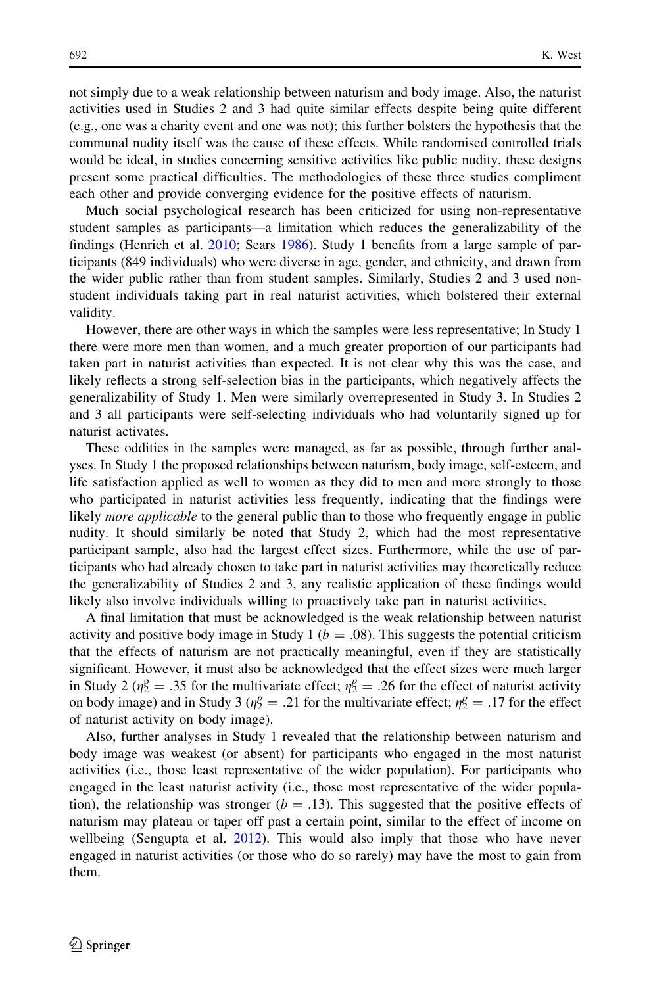not simply due to a weak relationship between naturism and body image. Also, the naturist activities used in Studies 2 and 3 had quite similar effects despite being quite different (e.g., one was a charity event and one was not); this further bolsters the hypothesis that the communal nudity itself was the cause of these effects. While randomised controlled trials would be ideal, in studies concerning sensitive activities like public nudity, these designs present some practical difficulties. The methodologies of these three studies compliment each other and provide converging evidence for the positive effects of naturism.

Much social psychological research has been criticized for using non-representative student samples as participants—a limitation which reduces the generalizability of the findings (Henrich et al. [2010;](#page-18-0) Sears [1986](#page-19-0)). Study 1 benefits from a large sample of participants (849 individuals) who were diverse in age, gender, and ethnicity, and drawn from the wider public rather than from student samples. Similarly, Studies 2 and 3 used nonstudent individuals taking part in real naturist activities, which bolstered their external validity.

However, there are other ways in which the samples were less representative; In Study 1 there were more men than women, and a much greater proportion of our participants had taken part in naturist activities than expected. It is not clear why this was the case, and likely reflects a strong self-selection bias in the participants, which negatively affects the generalizability of Study 1. Men were similarly overrepresented in Study 3. In Studies 2 and 3 all participants were self-selecting individuals who had voluntarily signed up for naturist activates.

These oddities in the samples were managed, as far as possible, through further analyses. In Study 1 the proposed relationships between naturism, body image, self-esteem, and life satisfaction applied as well to women as they did to men and more strongly to those who participated in naturist activities less frequently, indicating that the findings were likely *more applicable* to the general public than to those who frequently engage in public nudity. It should similarly be noted that Study 2, which had the most representative participant sample, also had the largest effect sizes. Furthermore, while the use of participants who had already chosen to take part in naturist activities may theoretically reduce the generalizability of Studies 2 and 3, any realistic application of these findings would likely also involve individuals willing to proactively take part in naturist activities.

A final limitation that must be acknowledged is the weak relationship between naturist activity and positive body image in Study 1 ( $b = .08$ ). This suggests the potential criticism that the effects of naturism are not practically meaningful, even if they are statistically significant. However, it must also be acknowledged that the effect sizes were much larger in Study 2 ( $\eta_2^p = .35$  for the multivariate effect;  $\eta_2^p = .26$  for the effect of naturist activity on body image) and in Study 3 ( $\eta_2^p = .21$  for the multivariate effect;  $\eta_2^p = .17$  for the effect of naturist activity on body image).

Also, further analyses in Study 1 revealed that the relationship between naturism and body image was weakest (or absent) for participants who engaged in the most naturist activities (i.e., those least representative of the wider population). For participants who engaged in the least naturist activity (i.e., those most representative of the wider population), the relationship was stronger  $(b = .13)$ . This suggested that the positive effects of naturism may plateau or taper off past a certain point, similar to the effect of income on wellbeing (Sengupta et al. [2012\)](#page-19-0). This would also imply that those who have never engaged in naturist activities (or those who do so rarely) may have the most to gain from them.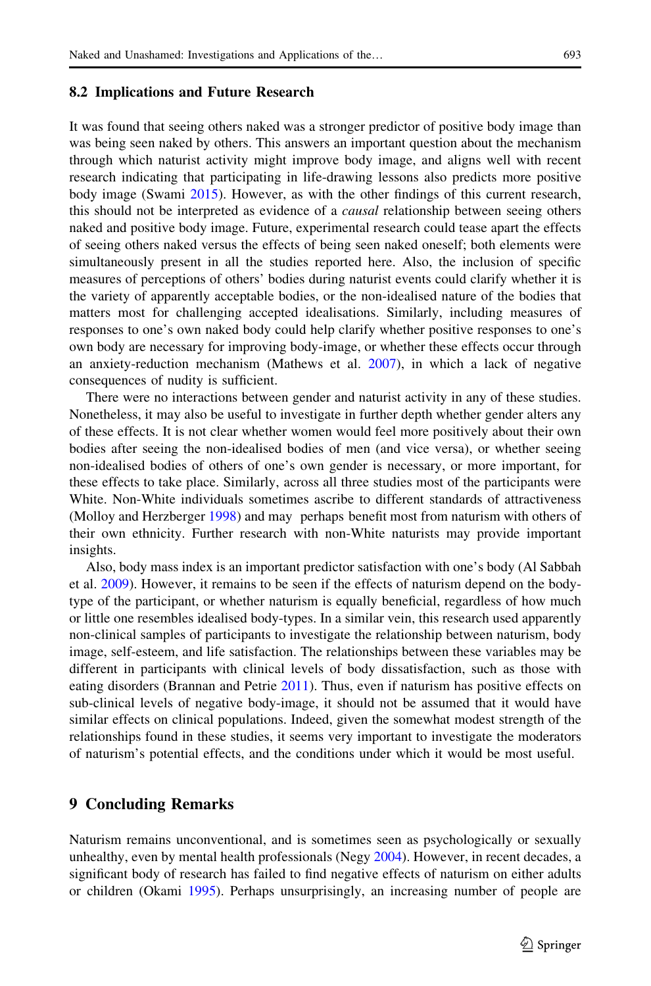#### 8.2 Implications and Future Research

It was found that seeing others naked was a stronger predictor of positive body image than was being seen naked by others. This answers an important question about the mechanism through which naturist activity might improve body image, and aligns well with recent research indicating that participating in life-drawing lessons also predicts more positive body image (Swami [2015](#page-19-0)). However, as with the other findings of this current research, this should not be interpreted as evidence of a *causal* relationship between seeing others naked and positive body image. Future, experimental research could tease apart the effects of seeing others naked versus the effects of being seen naked oneself; both elements were simultaneously present in all the studies reported here. Also, the inclusion of specific measures of perceptions of others' bodies during naturist events could clarify whether it is the variety of apparently acceptable bodies, or the non-idealised nature of the bodies that matters most for challenging accepted idealisations. Similarly, including measures of responses to one's own naked body could help clarify whether positive responses to one's own body are necessary for improving body-image, or whether these effects occur through an anxiety-reduction mechanism (Mathews et al. [2007\)](#page-18-0), in which a lack of negative consequences of nudity is sufficient.

There were no interactions between gender and naturist activity in any of these studies. Nonetheless, it may also be useful to investigate in further depth whether gender alters any of these effects. It is not clear whether women would feel more positively about their own bodies after seeing the non-idealised bodies of men (and vice versa), or whether seeing non-idealised bodies of others of one's own gender is necessary, or more important, for these effects to take place. Similarly, across all three studies most of the participants were White. Non-White individuals sometimes ascribe to different standards of attractiveness (Molloy and Herzberger [1998\)](#page-18-0) and may perhaps benefit most from naturism with others of their own ethnicity. Further research with non-White naturists may provide important insights.

Also, body mass index is an important predictor satisfaction with one's body (Al Sabbah et al. [2009](#page-17-0)). However, it remains to be seen if the effects of naturism depend on the bodytype of the participant, or whether naturism is equally beneficial, regardless of how much or little one resembles idealised body-types. In a similar vein, this research used apparently non-clinical samples of participants to investigate the relationship between naturism, body image, self-esteem, and life satisfaction. The relationships between these variables may be different in participants with clinical levels of body dissatisfaction, such as those with eating disorders (Brannan and Petrie [2011\)](#page-17-0). Thus, even if naturism has positive effects on sub-clinical levels of negative body-image, it should not be assumed that it would have similar effects on clinical populations. Indeed, given the somewhat modest strength of the relationships found in these studies, it seems very important to investigate the moderators of naturism's potential effects, and the conditions under which it would be most useful.

# 9 Concluding Remarks

Naturism remains unconventional, and is sometimes seen as psychologically or sexually unhealthy, even by mental health professionals (Negy [2004](#page-19-0)). However, in recent decades, a significant body of research has failed to find negative effects of naturism on either adults or children (Okami [1995\)](#page-19-0). Perhaps unsurprisingly, an increasing number of people are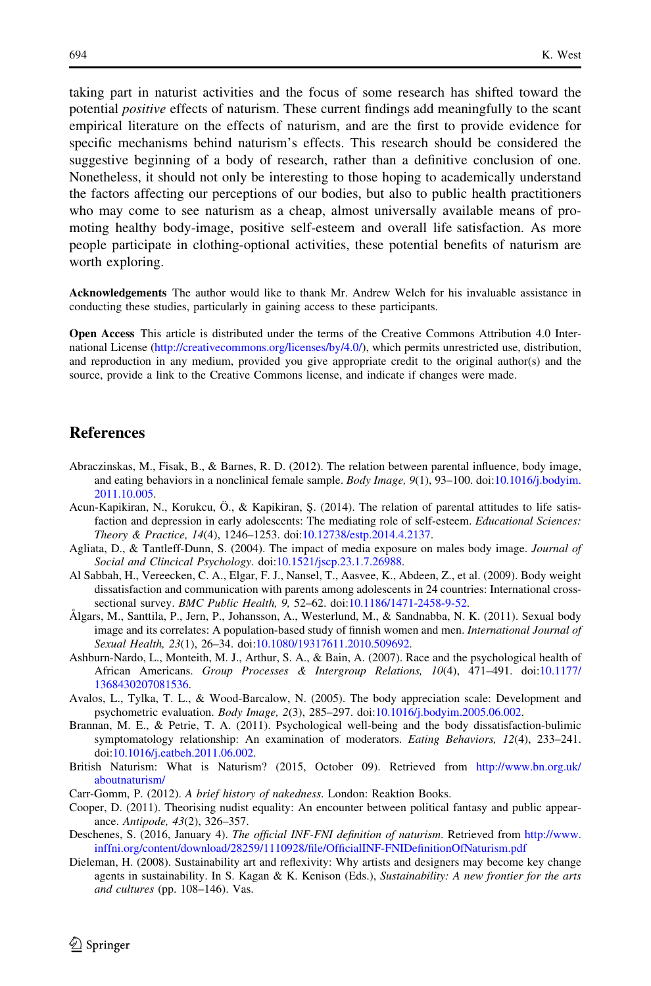<span id="page-17-0"></span>taking part in naturist activities and the focus of some research has shifted toward the potential positive effects of naturism. These current findings add meaningfully to the scant empirical literature on the effects of naturism, and are the first to provide evidence for specific mechanisms behind naturism's effects. This research should be considered the suggestive beginning of a body of research, rather than a definitive conclusion of one. Nonetheless, it should not only be interesting to those hoping to academically understand the factors affecting our perceptions of our bodies, but also to public health practitioners who may come to see naturism as a cheap, almost universally available means of promoting healthy body-image, positive self-esteem and overall life satisfaction. As more people participate in clothing-optional activities, these potential benefits of naturism are worth exploring.

Acknowledgements The author would like to thank Mr. Andrew Welch for his invaluable assistance in conducting these studies, particularly in gaining access to these participants.

Open Access This article is distributed under the terms of the Creative Commons Attribution 4.0 International License [\(http://creativecommons.org/licenses/by/4.0/\)](http://creativecommons.org/licenses/by/4.0/), which permits unrestricted use, distribution, and reproduction in any medium, provided you give appropriate credit to the original author(s) and the source, provide a link to the Creative Commons license, and indicate if changes were made.

## **References**

- Abraczinskas, M., Fisak, B., & Barnes, R. D. (2012). The relation between parental influence, body image, and eating behaviors in a nonclinical female sample. Body Image, 9(1), 93–100. doi[:10.1016/j.bodyim.](http://dx.doi.org/10.1016/j.bodyim.2011.10.005) [2011.10.005.](http://dx.doi.org/10.1016/j.bodyim.2011.10.005)
- Acun-Kapikiran, N., Korukcu, Ö., & Kapikiran, Ş. (2014). The relation of parental attitudes to life satisfaction and depression in early adolescents: The mediating role of self-esteem. Educational Sciences: Theory & Practice, 14(4), 1246–1253. doi[:10.12738/estp.2014.4.2137.](http://dx.doi.org/10.12738/estp.2014.4.2137)
- Agliata, D., & Tantleff-Dunn, S. (2004). The impact of media exposure on males body image. Journal of Social and Clincical Psychology. doi:[10.1521/jscp.23.1.7.26988](http://dx.doi.org/10.1521/jscp.23.1.7.26988).
- Al Sabbah, H., Vereecken, C. A., Elgar, F. J., Nansel, T., Aasvee, K., Abdeen, Z., et al. (2009). Body weight dissatisfaction and communication with parents among adolescents in 24 countries: International crosssectional survey. BMC Public Health, 9, 52–62. doi:[10.1186/1471-2458-9-52](http://dx.doi.org/10.1186/1471-2458-9-52).
- Algars, M., Santtila, P., Jern, P., Johansson, A., Westerlund, M., & Sandnabba, N. K. (2011). Sexual body image and its correlates: A population-based study of finnish women and men. International Journal of Sexual Health, 23(1), 26–34. doi:[10.1080/19317611.2010.509692](http://dx.doi.org/10.1080/19317611.2010.509692).
- Ashburn-Nardo, L., Monteith, M. J., Arthur, S. A., & Bain, A. (2007). Race and the psychological health of African Americans. Group Processes & Intergroup Relations, 10(4), 471–491. doi:[10.1177/](http://dx.doi.org/10.1177/1368430207081536) [1368430207081536](http://dx.doi.org/10.1177/1368430207081536).
- Avalos, L., Tylka, T. L., & Wood-Barcalow, N. (2005). The body appreciation scale: Development and psychometric evaluation. Body Image, 2(3), 285–297. doi:[10.1016/j.bodyim.2005.06.002](http://dx.doi.org/10.1016/j.bodyim.2005.06.002).
- Brannan, M. E., & Petrie, T. A. (2011). Psychological well-being and the body dissatisfaction-bulimic symptomatology relationship: An examination of moderators. Eating Behaviors, 12(4), 233–241. doi[:10.1016/j.eatbeh.2011.06.002](http://dx.doi.org/10.1016/j.eatbeh.2011.06.002).
- British Naturism: What is Naturism? (2015, October 09). Retrieved from [http://www.bn.org.uk/](http://www.bn.org.uk/aboutnaturism/) [aboutnaturism/](http://www.bn.org.uk/aboutnaturism/)
- Carr-Gomm, P. (2012). A brief history of nakedness. London: Reaktion Books.
- Cooper, D. (2011). Theorising nudist equality: An encounter between political fantasy and public appearance. Antipode, 43(2), 326–357.
- Deschenes, S. (2016, January 4). The official INF-FNI definition of naturism. Retrieved from [http://www.](http://www.inffni.org/content/download/28259/1110928/file/OfficialINF-FNIDefinitionOfNaturism.pdf) [inffni.org/content/download/28259/1110928/file/OfficialINF-FNIDefinitionOfNaturism.pdf](http://www.inffni.org/content/download/28259/1110928/file/OfficialINF-FNIDefinitionOfNaturism.pdf)
- Dieleman, H. (2008). Sustainability art and reflexivity: Why artists and designers may become key change agents in sustainability. In S. Kagan & K. Kenison (Eds.), Sustainability: A new frontier for the arts and cultures (pp. 108–146). Vas.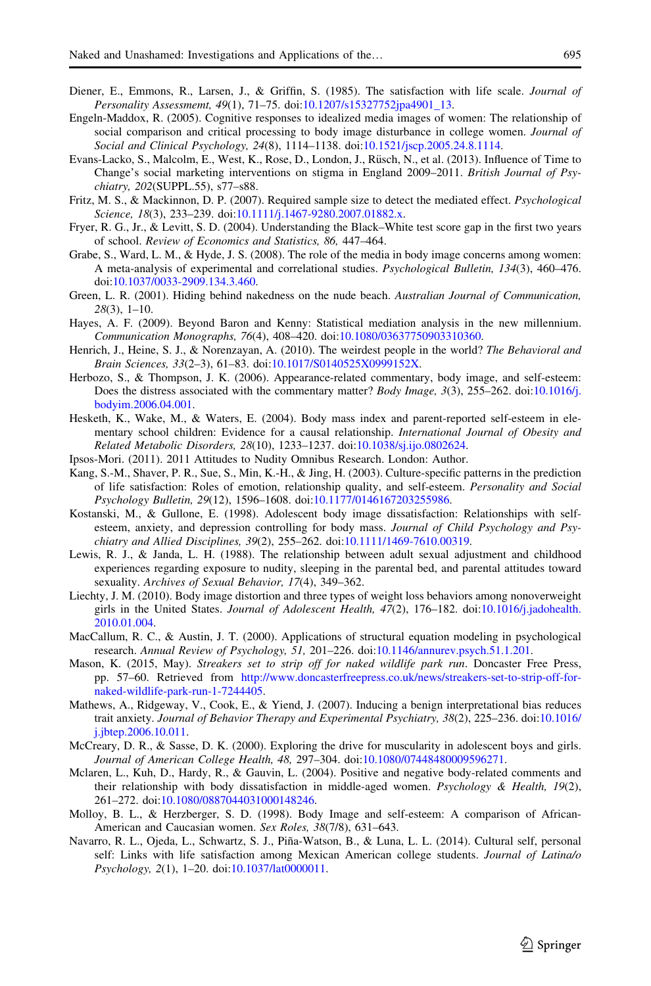- <span id="page-18-0"></span>Diener, E., Emmons, R., Larsen, J., & Griffin, S. (1985). The satisfaction with life scale. Journal of Personality Assessmemt, 49(1), 71–75. doi:[10.1207/s15327752jpa4901\\_13](http://dx.doi.org/10.1207/s15327752jpa4901_13).
- Engeln-Maddox, R. (2005). Cognitive responses to idealized media images of women: The relationship of social comparison and critical processing to body image disturbance in college women. Journal of Social and Clinical Psychology, 24(8), 1114–1138. doi[:10.1521/jscp.2005.24.8.1114](http://dx.doi.org/10.1521/jscp.2005.24.8.1114).
- Evans-Lacko, S., Malcolm, E., West, K., Rose, D., London, J., Rüsch, N., et al. (2013). Influence of Time to Change's social marketing interventions on stigma in England 2009–2011. British Journal of Psychiatry, 202(SUPPL.55), s77–s88.
- Fritz, M. S., & Mackinnon, D. P. (2007). Required sample size to detect the mediated effect. Psychological Science, 18(3), 233-239. doi:[10.1111/j.1467-9280.2007.01882.x](http://dx.doi.org/10.1111/j.1467-9280.2007.01882.x).
- Fryer, R. G., Jr., & Levitt, S. D. (2004). Understanding the Black–White test score gap in the first two years of school. Review of Economics and Statistics, 86, 447–464.
- Grabe, S., Ward, L. M., & Hyde, J. S. (2008). The role of the media in body image concerns among women: A meta-analysis of experimental and correlational studies. Psychological Bulletin, 134(3), 460–476. doi[:10.1037/0033-2909.134.3.460](http://dx.doi.org/10.1037/0033-2909.134.3.460).
- Green, L. R. (2001). Hiding behind nakedness on the nude beach. Australian Journal of Communication, 28(3), 1–10.
- Hayes, A. F. (2009). Beyond Baron and Kenny: Statistical mediation analysis in the new millennium. Communication Monographs, 76(4), 408–420. doi[:10.1080/03637750903310360.](http://dx.doi.org/10.1080/03637750903310360)
- Henrich, J., Heine, S. J., & Norenzayan, A. (2010). The weirdest people in the world? The Behavioral and Brain Sciences, 33(2–3), 61–83. doi[:10.1017/S0140525X0999152X.](http://dx.doi.org/10.1017/S0140525X0999152X)
- Herbozo, S., & Thompson, J. K. (2006). Appearance-related commentary, body image, and self-esteem: Does the distress associated with the commentary matter? Body Image, 3(3), 255–262. doi[:10.1016/j.](http://dx.doi.org/10.1016/j.bodyim.2006.04.001) [bodyim.2006.04.001.](http://dx.doi.org/10.1016/j.bodyim.2006.04.001)
- Hesketh, K., Wake, M., & Waters, E. (2004). Body mass index and parent-reported self-esteem in elementary school children: Evidence for a causal relationship. International Journal of Obesity and Related Metabolic Disorders, 28(10), 1233–1237. doi:[10.1038/sj.ijo.0802624](http://dx.doi.org/10.1038/sj.ijo.0802624).
- Ipsos-Mori. (2011). 2011 Attitudes to Nudity Omnibus Research. London: Author.
- Kang, S.-M., Shaver, P. R., Sue, S., Min, K.-H., & Jing, H. (2003). Culture-specific patterns in the prediction of life satisfaction: Roles of emotion, relationship quality, and self-esteem. Personality and Social Psychology Bulletin, 29(12), 1596–1608. doi:[10.1177/0146167203255986](http://dx.doi.org/10.1177/0146167203255986).
- Kostanski, M., & Gullone, E. (1998). Adolescent body image dissatisfaction: Relationships with selfesteem, anxiety, and depression controlling for body mass. Journal of Child Psychology and Psychiatry and Allied Disciplines, 39(2), 255–262. doi:[10.1111/1469-7610.00319.](http://dx.doi.org/10.1111/1469-7610.00319)
- Lewis, R. J., & Janda, L. H. (1988). The relationship between adult sexual adjustment and childhood experiences regarding exposure to nudity, sleeping in the parental bed, and parental attitudes toward sexuality. Archives of Sexual Behavior, 17(4), 349–362.
- Liechty, J. M. (2010). Body image distortion and three types of weight loss behaviors among nonoverweight girls in the United States. Journal of Adolescent Health, 47(2), 176–182. doi[:10.1016/j.jadohealth.](http://dx.doi.org/10.1016/j.jadohealth.2010.01.004) [2010.01.004.](http://dx.doi.org/10.1016/j.jadohealth.2010.01.004)
- MacCallum, R. C., & Austin, J. T. (2000). Applications of structural equation modeling in psychological research. Annual Review of Psychology, 51, 201–226. doi[:10.1146/annurev.psych.51.1.201](http://dx.doi.org/10.1146/annurev.psych.51.1.201).
- Mason, K. (2015, May). Streakers set to strip off for naked wildlife park run. Doncaster Free Press, pp. 57–60. Retrieved from [http://www.doncasterfreepress.co.uk/news/streakers-set-to-strip-off-for](http://www.doncasterfreepress.co.uk/news/streakers-set-to-strip-off-for-naked-wildlife-park-run-1-7244405)[naked-wildlife-park-run-1-7244405](http://www.doncasterfreepress.co.uk/news/streakers-set-to-strip-off-for-naked-wildlife-park-run-1-7244405).
- Mathews, A., Ridgeway, V., Cook, E., & Yiend, J. (2007). Inducing a benign interpretational bias reduces trait anxiety. Journal of Behavior Therapy and Experimental Psychiatry, 38(2), 225–236. doi:[10.1016/](http://dx.doi.org/10.1016/j.jbtep.2006.10.011) [j.jbtep.2006.10.011.](http://dx.doi.org/10.1016/j.jbtep.2006.10.011)
- McCreary, D. R., & Sasse, D. K. (2000). Exploring the drive for muscularity in adolescent boys and girls. Journal of American College Health, 48, 297–304. doi[:10.1080/07448480009596271.](http://dx.doi.org/10.1080/07448480009596271)
- Mclaren, L., Kuh, D., Hardy, R., & Gauvin, L. (2004). Positive and negative body-related comments and their relationship with body dissatisfaction in middle-aged women. Psychology & Health, 19(2), 261–272. doi:[10.1080/0887044031000148246](http://dx.doi.org/10.1080/0887044031000148246).
- Molloy, B. L., & Herzberger, S. D. (1998). Body Image and self-esteem: A comparison of African-American and Caucasian women. Sex Roles, 38(7/8), 631–643.
- Navarro, R. L., Ojeda, L., Schwartz, S. J., Piña-Watson, B., & Luna, L. L. (2014). Cultural self, personal self: Links with life satisfaction among Mexican American college students. Journal of Latina/o Psychology, 2(1), 1–20. doi[:10.1037/lat0000011.](http://dx.doi.org/10.1037/lat0000011)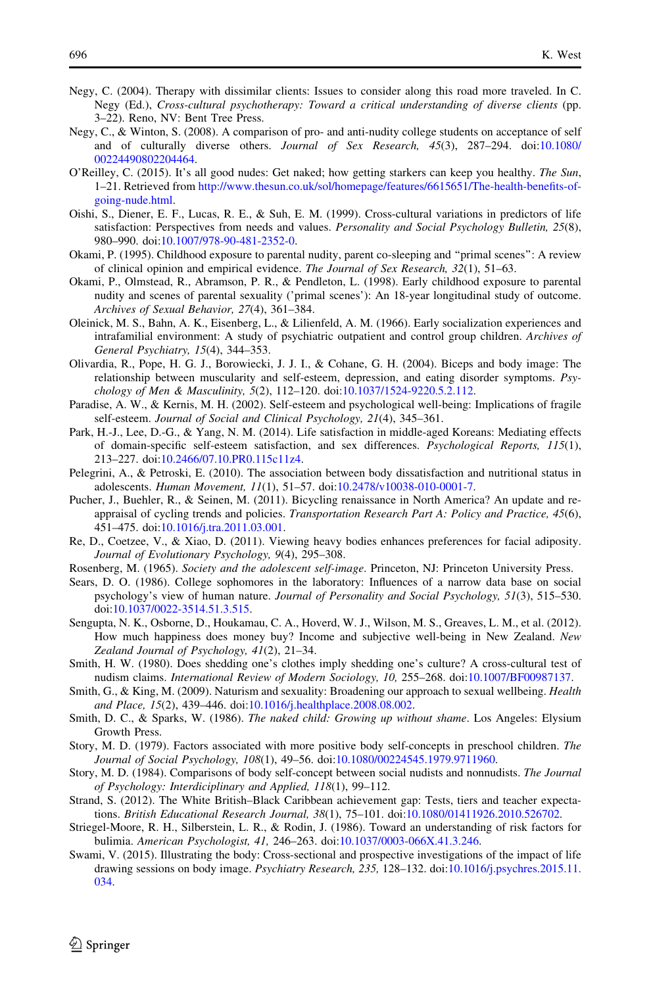- <span id="page-19-0"></span>Negy, C. (2004). Therapy with dissimilar clients: Issues to consider along this road more traveled. In C. Negy (Ed.), Cross-cultural psychotherapy: Toward a critical understanding of diverse clients (pp. 3–22). Reno, NV: Bent Tree Press.
- Negy, C., & Winton, S. (2008). A comparison of pro- and anti-nudity college students on acceptance of self and of culturally diverse others. Journal of Sex Research, 45(3), 287–294. doi:[10.1080/](http://dx.doi.org/10.1080/00224490802204464) [00224490802204464](http://dx.doi.org/10.1080/00224490802204464).
- O'Reilley, C. (2015). It's all good nudes: Get naked; how getting starkers can keep you healthy. The Sun, 1–21. Retrieved from [http://www.thesun.co.uk/sol/homepage/features/6615651/The-health-benefits-of](http://www.thesun.co.uk/sol/homepage/features/6615651/The-health-benefits-of-going-nude.html)[going-nude.html.](http://www.thesun.co.uk/sol/homepage/features/6615651/The-health-benefits-of-going-nude.html)
- Oishi, S., Diener, E. F., Lucas, R. E., & Suh, E. M. (1999). Cross-cultural variations in predictors of life satisfaction: Perspectives from needs and values. Personality and Social Psychology Bulletin, 25(8), 980–990. doi:[10.1007/978-90-481-2352-0.](http://dx.doi.org/10.1007/978-90-481-2352-0)
- Okami, P. (1995). Childhood exposure to parental nudity, parent co-sleeping and ''primal scenes'': A review of clinical opinion and empirical evidence. The Journal of Sex Research, 32(1), 51–63.
- Okami, P., Olmstead, R., Abramson, P. R., & Pendleton, L. (1998). Early childhood exposure to parental nudity and scenes of parental sexuality ('primal scenes'): An 18-year longitudinal study of outcome. Archives of Sexual Behavior, 27(4), 361–384.
- Oleinick, M. S., Bahn, A. K., Eisenberg, L., & Lilienfeld, A. M. (1966). Early socialization experiences and intrafamilial environment: A study of psychiatric outpatient and control group children. Archives of General Psychiatry, 15(4), 344–353.
- Olivardia, R., Pope, H. G. J., Borowiecki, J. J. I., & Cohane, G. H. (2004). Biceps and body image: The relationship between muscularity and self-esteem, depression, and eating disorder symptoms. Psychology of Men & Masculinity, 5(2), 112–120. doi[:10.1037/1524-9220.5.2.112.](http://dx.doi.org/10.1037/1524-9220.5.2.112)
- Paradise, A. W., & Kernis, M. H. (2002). Self-esteem and psychological well-being: Implications of fragile self-esteem. Journal of Social and Clinical Psychology, 21(4), 345–361.
- Park, H.-J., Lee, D.-G., & Yang, N. M. (2014). Life satisfaction in middle-aged Koreans: Mediating effects of domain-specific self-esteem satisfaction, and sex differences. Psychological Reports, 115(1), 213–227. doi:[10.2466/07.10.PR0.115c11z4](http://dx.doi.org/10.2466/07.10.PR0.115c11z4).
- Pelegrini, A., & Petroski, E. (2010). The association between body dissatisfaction and nutritional status in adolescents. Human Movement, 11(1), 51–57. doi:[10.2478/v10038-010-0001-7](http://dx.doi.org/10.2478/v10038-010-0001-7).
- Pucher, J., Buehler, R., & Seinen, M. (2011). Bicycling renaissance in North America? An update and reappraisal of cycling trends and policies. Transportation Research Part A: Policy and Practice, 45(6), 451–475. doi:[10.1016/j.tra.2011.03.001](http://dx.doi.org/10.1016/j.tra.2011.03.001).
- Re, D., Coetzee, V., & Xiao, D. (2011). Viewing heavy bodies enhances preferences for facial adiposity. Journal of Evolutionary Psychology, 9(4), 295–308.
- Rosenberg, M. (1965). Society and the adolescent self-image. Princeton, NJ: Princeton University Press.
- Sears, D. O. (1986). College sophomores in the laboratory: Influences of a narrow data base on social psychology's view of human nature. Journal of Personality and Social Psychology, 51(3), 515–530. doi[:10.1037/0022-3514.51.3.515](http://dx.doi.org/10.1037/0022-3514.51.3.515).
- Sengupta, N. K., Osborne, D., Houkamau, C. A., Hoverd, W. J., Wilson, M. S., Greaves, L. M., et al. (2012). How much happiness does money buy? Income and subjective well-being in New Zealand. New Zealand Journal of Psychology, 41(2), 21–34.
- Smith, H. W. (1980). Does shedding one's clothes imply shedding one's culture? A cross-cultural test of nudism claims. International Review of Modern Sociology, 10, 255–268. doi[:10.1007/BF00987137.](http://dx.doi.org/10.1007/BF00987137)
- Smith, G., & King, M. (2009). Naturism and sexuality: Broadening our approach to sexual wellbeing. *Health* and Place, 15(2), 439–446. doi:[10.1016/j.healthplace.2008.08.002](http://dx.doi.org/10.1016/j.healthplace.2008.08.002).
- Smith, D. C., & Sparks, W. (1986). The naked child: Growing up without shame. Los Angeles: Elysium Growth Press.
- Story, M. D. (1979). Factors associated with more positive body self-concepts in preschool children. The Journal of Social Psychology, 108(1), 49–56. doi:[10.1080/00224545.1979.9711960](http://dx.doi.org/10.1080/00224545.1979.9711960).
- Story, M. D. (1984). Comparisons of body self-concept between social nudists and nonnudists. The Journal of Psychology: Interdiciplinary and Applied, 118(1), 99–112.
- Strand, S. (2012). The White British–Black Caribbean achievement gap: Tests, tiers and teacher expectations. British Educational Research Journal, 38(1), 75–101. doi[:10.1080/01411926.2010.526702.](http://dx.doi.org/10.1080/01411926.2010.526702)
- Striegel-Moore, R. H., Silberstein, L. R., & Rodin, J. (1986). Toward an understanding of risk factors for bulimia. American Psychologist, 41, 246–263. doi[:10.1037/0003-066X.41.3.246](http://dx.doi.org/10.1037/0003-066X.41.3.246).
- Swami, V. (2015). Illustrating the body: Cross-sectional and prospective investigations of the impact of life drawing sessions on body image. Psychiatry Research, 235, 128–132. doi:[10.1016/j.psychres.2015.11.](http://dx.doi.org/10.1016/j.psychres.2015.11.034) [034.](http://dx.doi.org/10.1016/j.psychres.2015.11.034)